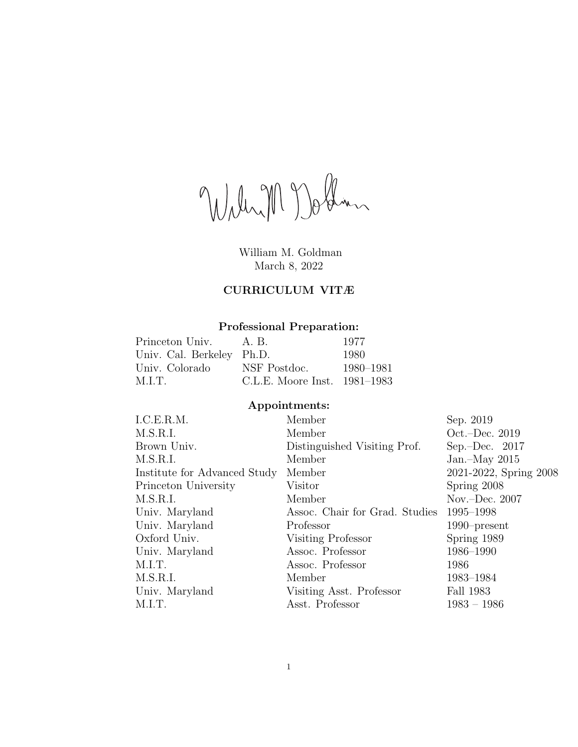William Dollar

William M. Goldman March 8, 2022

# CURRICULUM VITÆ

# Professional Preparation:

| Princeton Univ.           | A.B.                           | 1977      |
|---------------------------|--------------------------------|-----------|
| Univ. Cal. Berkeley Ph.D. |                                | 1980      |
| Univ. Colorado            | NSF Postdoc.                   | 1980–1981 |
| M.LT.                     | C.L.E. Moore Inst. $1981-1983$ |           |

# Appointments:

| I.C.E.R.M.                   | Member                         | Sep. 2019                 |
|------------------------------|--------------------------------|---------------------------|
| M.S.R.I.                     | Member                         | Oct. $-\text{Dec. } 2019$ |
| Brown Univ.                  | Distinguished Visiting Prof.   | Sep.-Dec. $2017$          |
| M.S.R.I.                     | Member                         | Jan. $-May$ 2015          |
| Institute for Advanced Study | Member                         | 2021-2022, Spring 2008    |
| Princeton University         | Visitor                        | Spring 2008               |
| M.S.R.I.                     | Member                         | Nov.-Dec. $2007$          |
| Univ. Maryland               | Assoc. Chair for Grad. Studies | 1995–1998                 |
| Univ. Maryland               | Professor                      | $1990$ -present           |
| Oxford Univ.                 | Visiting Professor             | Spring 1989               |
| Univ. Maryland               | Assoc. Professor               | 1986-1990                 |
| M.I.T.                       | Assoc. Professor               | 1986                      |
| M.S.R.I.                     | Member                         | 1983-1984                 |
| Univ. Maryland               | Visiting Asst. Professor       | Fall 1983                 |
| M.I.T.                       | Asst. Professor                | $1983 - 1986$             |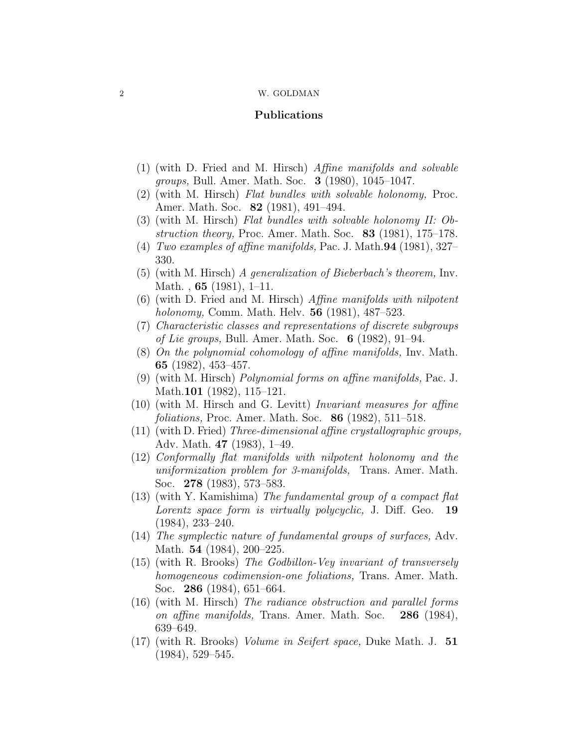# Publications

- (1) (with D. Fried and M. Hirsch) Affine manifolds and solvable groups, Bull. Amer. Math. Soc. 3 (1980), 1045–1047.
- (2) (with M. Hirsch) Flat bundles with solvable holonomy, Proc. Amer. Math. Soc. 82 (1981), 491–494.
- (3) (with M. Hirsch) Flat bundles with solvable holonomy II: Obstruction theory, Proc. Amer. Math. Soc.  $83$  (1981), 175–178.
- (4) Two examples of affine manifolds, Pac. J. Math.  $94$  (1981), 327– 330.
- (5) (with M. Hirsch) A generalization of Bieberbach's theorem, Inv. Math. , 65 (1981), 1–11.
- $(6)$  (with D. Fried and M. Hirsch) *Affine manifolds with nilpotent* holonomy, Comm. Math. Helv. 56 (1981), 487–523.
- (7) Characteristic classes and representations of discrete subgroups of Lie groups, Bull. Amer. Math. Soc.  $6$  (1982), 91–94.
- (8) On the polynomial cohomology of affine manifolds, Inv. Math. 65 (1982), 453–457.
- (9) (with M. Hirsch) Polynomial forms on affine manifolds, Pac. J. Math.101 (1982), 115–121.
- (10) (with M. Hirsch and G. Levitt) Invariant measures for affine foliations, Proc. Amer. Math. Soc. 86 (1982), 511–518.
- (11) (with D. Fried) Three-dimensional affine crystallographic groups, Adv. Math. 47 (1983), 1–49.
- (12) Conformally flat manifolds with nilpotent holonomy and the uniformization problem for 3-manifolds, Trans. Amer. Math. Soc. 278 (1983), 573–583.
- (13) (with Y. Kamishima) The fundamental group of a compact flat Lorentz space form is virtually polycyclic, J. Diff. Geo. 19 (1984), 233–240.
- (14) The symplectic nature of fundamental groups of surfaces, Adv. Math. **54** (1984), 200–225.
- (15) (with R. Brooks) The Godbillon-Vey invariant of transversely homogeneous codimension-one foliations, Trans. Amer. Math. Soc. 286 (1984), 651–664.
- (16) (with M. Hirsch) The radiance obstruction and parallel forms on affine manifolds, Trans. Amer. Math. Soc. 286 (1984), 639–649.
- (17) (with R. Brooks) Volume in Seifert space, Duke Math. J. 51 (1984), 529–545.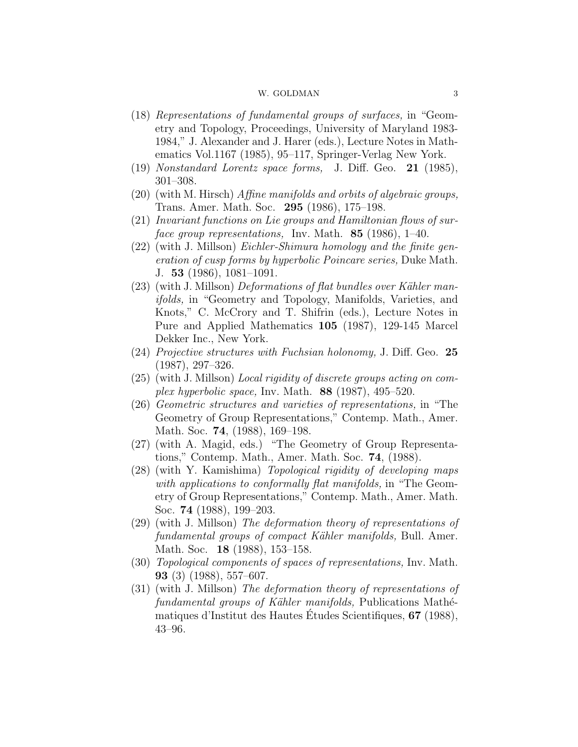- (18) Representations of fundamental groups of surfaces, in "Geometry and Topology, Proceedings, University of Maryland 1983- 1984," J. Alexander and J. Harer (eds.), Lecture Notes in Mathematics Vol.1167 (1985), 95–117, Springer-Verlag New York.
- (19) Nonstandard Lorentz space forms, J. Diff. Geo. 21 (1985), 301–308.
- $(20)$  (with M. Hirsch) *Affine manifolds and orbits of algebraic groups*, Trans. Amer. Math. Soc. 295 (1986), 175–198.
- (21) Invariant functions on Lie groups and Hamiltonian flows of surface group representations, Inv. Math. **85** (1986), 1–40.
- (22) (with J. Millson) Eichler-Shimura homology and the finite generation of cusp forms by hyperbolic Poincare series, Duke Math. J. 53 (1986), 1081–1091.
- $(23)$  (with J. Millson) Deformations of flat bundles over Kähler manifolds, in "Geometry and Topology, Manifolds, Varieties, and Knots," C. McCrory and T. Shifrin (eds.), Lecture Notes in Pure and Applied Mathematics 105 (1987), 129-145 Marcel Dekker Inc., New York.
- $(24)$  Projective structures with Fuchsian holonomy, J. Diff. Geo. 25 (1987), 297–326.
- (25) (with J. Millson) Local rigidity of discrete groups acting on complex hyperbolic space, Inv. Math.  $88$  (1987), 495–520.
- (26) Geometric structures and varieties of representations, in "The Geometry of Group Representations," Contemp. Math., Amer. Math. Soc. **74**, (1988), 169–198.
- (27) (with A. Magid, eds.) "The Geometry of Group Representations," Contemp. Math., Amer. Math. Soc. 74, (1988).
- (28) (with Y. Kamishima) Topological rigidity of developing maps with applications to conformally flat manifolds, in "The Geometry of Group Representations," Contemp. Math., Amer. Math. Soc. 74 (1988), 199–203.
- (29) (with J. Millson) The deformation theory of representations of fundamental groups of compact Kähler manifolds, Bull. Amer. Math. Soc. 18 (1988), 153–158.
- (30) Topological components of spaces of representations, Inv. Math. 93 (3) (1988), 557–607.
- (31) (with J. Millson) The deformation theory of representations of fundamental groups of Kähler manifolds, Publications Mathématiques d'Institut des Hautes Etudes Scientifiques,  $67$  (1988), 43–96.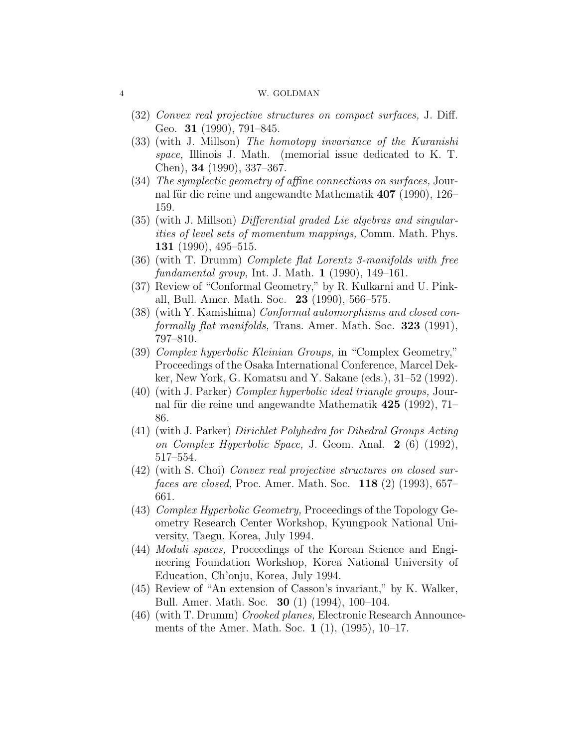- (32) Convex real projective structures on compact surfaces, J. Diff. Geo. **31** (1990), 791–845.
- (33) (with J. Millson) The homotopy invariance of the Kuranishi space, Illinois J. Math. (memorial issue dedicated to K. T. Chen), 34 (1990), 337–367.
- (34) The symplectic geometry of affine connections on surfaces, Journal für die reine und angewandte Mathematik 407 (1990), 126– 159.
- (35) (with J. Millson) Differential graded Lie algebras and singularities of level sets of momentum mappings, Comm. Math. Phys. 131 (1990), 495–515.
- (36) (with T. Drumm) Complete flat Lorentz 3-manifolds with free fundamental group, Int. J. Math. 1 (1990), 149–161.
- (37) Review of "Conformal Geometry," by R. Kulkarni and U. Pinkall, Bull. Amer. Math. Soc. 23 (1990), 566–575.
- (38) (with Y. Kamishima) Conformal automorphisms and closed conformally flat manifolds, Trans. Amer. Math. Soc. 323 (1991), 797–810.
- (39) Complex hyperbolic Kleinian Groups, in "Complex Geometry," Proceedings of the Osaka International Conference, Marcel Dekker, New York, G. Komatsu and Y. Sakane (eds.), 31–52 (1992).
- (40) (with J. Parker) Complex hyperbolic ideal triangle groups, Journal für die reine und angewandte Mathematik  $425$  (1992), 71– 86.
- (41) (with J. Parker) Dirichlet Polyhedra for Dihedral Groups Acting on Complex Hyperbolic Space, J. Geom. Anal. 2 (6) (1992), 517–554.
- (42) (with S. Choi) Convex real projective structures on closed sur*faces are closed*, Proc. Amer. Math. Soc.  $118$  (2) (1993), 657– 661.
- (43) Complex Hyperbolic Geometry, Proceedings of the Topology Geometry Research Center Workshop, Kyungpook National University, Taegu, Korea, July 1994.
- (44) Moduli spaces, Proceedings of the Korean Science and Engineering Foundation Workshop, Korea National University of Education, Ch'onju, Korea, July 1994.
- (45) Review of "An extension of Casson's invariant," by K. Walker, Bull. Amer. Math. Soc. 30 (1) (1994), 100–104.
- (46) (with T. Drumm) Crooked planes, Electronic Research Announcements of the Amer. Math. Soc. 1 (1), (1995), 10–17.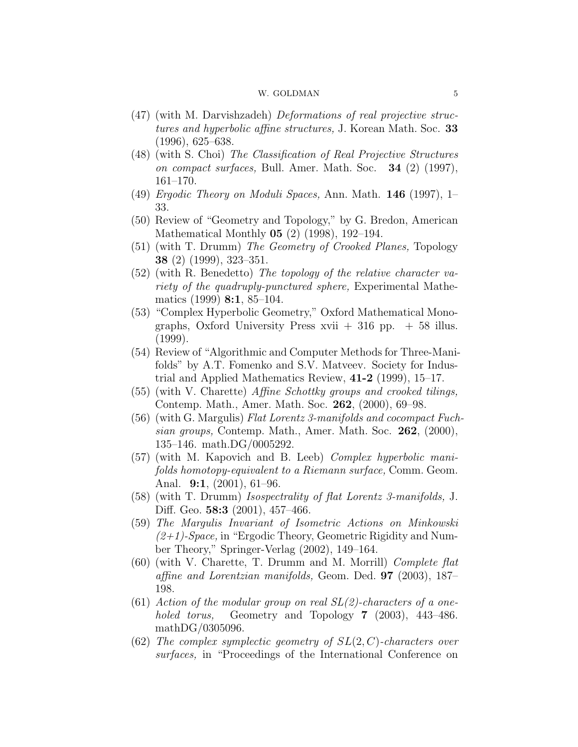- (47) (with M. Darvishzadeh) Deformations of real projective structures and hyperbolic affine structures, J. Korean Math. Soc. 33 (1996), 625–638.
- (48) (with S. Choi) The Classification of Real Projective Structures on compact surfaces, Bull. Amer. Math. Soc. 34 (2) (1997), 161–170.
- $(49)$  *Ergodic Theory on Moduli Spaces, Ann. Math.* **146** (1997), 1– 33.
- (50) Review of "Geometry and Topology," by G. Bredon, American Mathematical Monthly 05 (2) (1998), 192–194.
- (51) (with T. Drumm) The Geometry of Crooked Planes, Topology 38 (2) (1999), 323–351.
- (52) (with R. Benedetto) The topology of the relative character variety of the quadruply-punctured sphere, Experimental Mathematics (1999) 8:1, 85–104.
- (53) "Complex Hyperbolic Geometry," Oxford Mathematical Monographs, Oxford University Press xvii  $+316$  pp.  $+58$  illus. (1999).
- (54) Review of "Algorithmic and Computer Methods for Three-Manifolds" by A.T. Fomenko and S.V. Matveev. Society for Industrial and Applied Mathematics Review, 41-2 (1999), 15–17.
- (55) (with V. Charette) Affine Schottky groups and crooked tilings, Contemp. Math., Amer. Math. Soc. 262, (2000), 69–98.
- $(56)$  (with G. Margulis) Flat Lorentz 3-manifolds and cocompact Fuchsian groups, Contemp. Math., Amer. Math. Soc. 262, (2000), 135–146. math.DG/0005292.
- (57) (with M. Kapovich and B. Leeb) Complex hyperbolic manifolds homotopy-equivalent to a Riemann surface, Comm. Geom. Anal. 9:1, (2001), 61–96.
- (58) (with T. Drumm) Isospectrality of flat Lorentz 3-manifolds, J. Diff. Geo. **58:3** (2001), 457-466.
- (59) The Margulis Invariant of Isometric Actions on Minkowski  $(2+1)$ -Space, in "Ergodic Theory, Geometric Rigidity and Number Theory," Springer-Verlag (2002), 149–164.
- (60) (with V. Charette, T. Drumm and M. Morrill) Complete flat affine and Lorentzian manifolds, Geom. Ded. 97 (2003), 187– 198.
- (61) Action of the modular group on real  $SL(2)$ -characters of a oneholed torus, Geometry and Topology 7 (2003), 443–486. mathDG/0305096.
- (62) The complex symplectic geometry of  $SL(2, C)$ -characters over surfaces, in "Proceedings of the International Conference on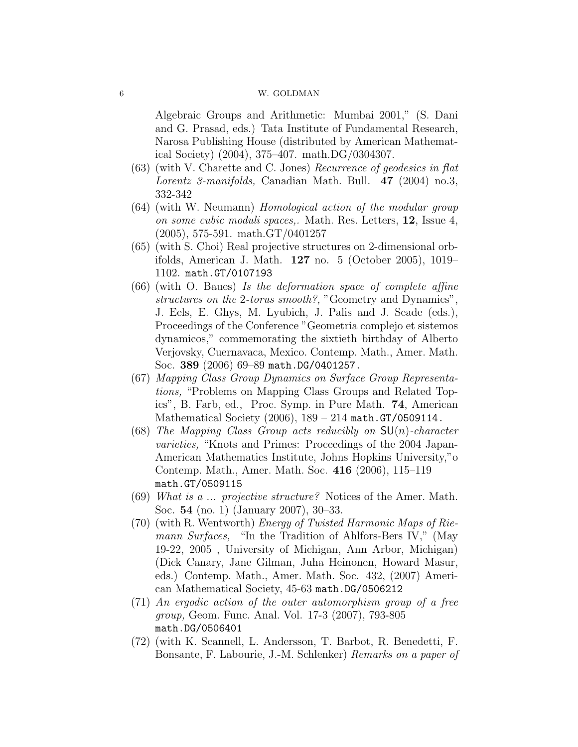Algebraic Groups and Arithmetic: Mumbai 2001," (S. Dani and G. Prasad, eds.) Tata Institute of Fundamental Research, Narosa Publishing House (distributed by American Mathematical Society) (2004), 375–407. math.DG/0304307.

- (63) (with V. Charette and C. Jones) Recurrence of geodesics in flat Lorentz 3-manifolds, Canadian Math. Bull. 47 (2004) no.3, 332-342
- (64) (with W. Neumann) Homological action of the modular group on some cubic moduli spaces,. Math. Res. Letters, 12, Issue 4, (2005), 575-591. math.GT/0401257
- (65) (with S. Choi) Real projective structures on 2-dimensional orbifolds, American J. Math. 127 no. 5 (October 2005), 1019– 1102. math.GT/0107193
- (66) (with O. Baues) Is the deformation space of complete affine structures on the 2-torus smooth?, "Geometry and Dynamics", J. Eels, E. Ghys, M. Lyubich, J. Palis and J. Seade (eds.), Proceedings of the Conference "Geometria complejo et sistemos dynamicos," commemorating the sixtieth birthday of Alberto Verjovsky, Cuernavaca, Mexico. Contemp. Math., Amer. Math. Soc. 389 (2006) 69–89 math.DG/0401257.
- (67) Mapping Class Group Dynamics on Surface Group Representations, "Problems on Mapping Class Groups and Related Topics", B. Farb, ed., Proc. Symp. in Pure Math. 74, American Mathematical Society (2006), 189 – 214 math.GT/0509114.
- (68) The Mapping Class Group acts reducibly on  $SU(n)$ -character varieties, "Knots and Primes: Proceedings of the 2004 Japan-American Mathematics Institute, Johns Hopkins University,"o Contemp. Math., Amer. Math. Soc. 416 (2006), 115–119 math.GT/0509115
- (69) What is a ... projective structure? Notices of the Amer. Math. Soc. 54 (no. 1) (January 2007), 30–33.
- (70) (with R. Wentworth) Energy of Twisted Harmonic Maps of Riemann Surfaces, "In the Tradition of Ahlfors-Bers IV," (May 19-22, 2005 , University of Michigan, Ann Arbor, Michigan) (Dick Canary, Jane Gilman, Juha Heinonen, Howard Masur, eds.) Contemp. Math., Amer. Math. Soc. 432, (2007) American Mathematical Society, 45-63 math.DG/0506212
- (71) An ergodic action of the outer automorphism group of a free group, Geom. Func. Anal. Vol. 17-3 (2007), 793-805 math.DG/0506401
- (72) (with K. Scannell, L. Andersson, T. Barbot, R. Benedetti, F. Bonsante, F. Labourie, J.-M. Schlenker) Remarks on a paper of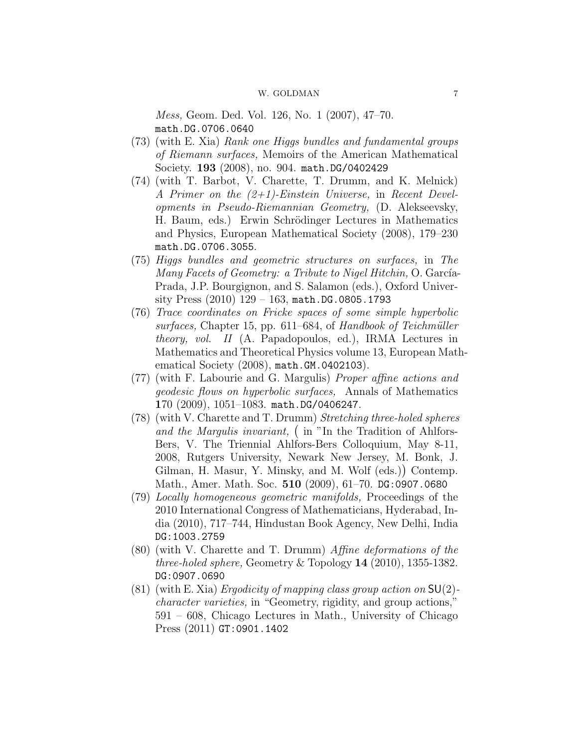Mess, Geom. Ded. Vol. 126, No. 1 (2007), 47–70. math.DG.0706.0640

- (73) (with E. Xia) Rank one Higgs bundles and fundamental groups of Riemann surfaces, Memoirs of the American Mathematical Society. 193 (2008), no. 904. math.DG/0402429
- (74) (with T. Barbot, V. Charette, T. Drumm, and K. Melnick) A Primer on the (2+1)-Einstein Universe, in Recent Developments in Pseudo-Riemannian Geometry, (D. Alekseevsky, H. Baum, eds.) Erwin Schrödinger Lectures in Mathematics and Physics, European Mathematical Society (2008), 179–230 math.DG.0706.3055.
- (75) Higgs bundles and geometric structures on surfaces, in The Many Facets of Geometry: a Tribute to Nigel Hitchin, O. García-Prada, J.P. Bourgignon, and S. Salamon (eds.), Oxford University Press  $(2010)$  129 – 163, math.DG.0805.1793
- (76) Trace coordinates on Fricke spaces of some simple hyperbolic  $surfaces$ , Chapter 15, pp. 611–684, of Handbook of Teichmüller theory, vol. II (A. Papadopoulos, ed.), IRMA Lectures in Mathematics and Theoretical Physics volume 13, European Mathematical Society (2008), math.GM.0402103).
- (77) (with F. Labourie and G. Margulis) Proper affine actions and geodesic flows on hyperbolic surfaces, Annals of Mathematics 170 (2009), 1051–1083. math.DG/0406247.
- (78) (with V. Charette and T. Drumm) Stretching three-holed spheres and the Margulis invariant, (in "In the Tradition of Ahlfors-Bers, V. The Triennial Ahlfors-Bers Colloquium, May 8-11, 2008, Rutgers University, Newark New Jersey, M. Bonk, J. Gilman, H. Masur, Y. Minsky, and M. Wolf (eds.) Contemp. Math., Amer. Math. Soc. 510 (2009), 61–70. DG:0907.0680
- (79) Locally homogeneous geometric manifolds, Proceedings of the 2010 International Congress of Mathematicians, Hyderabad, India (2010), 717–744, Hindustan Book Agency, New Delhi, India DG:1003.2759
- (80) (with V. Charette and T. Drumm) Affine deformations of the three-holed sphere, Geometry & Topology  $14$  (2010), 1355-1382. DG:0907.0690
- (81) (with E. Xia) Ergodicity of mapping class group action on  $SU(2)$ character varieties, in "Geometry, rigidity, and group actions," 591 – 608, Chicago Lectures in Math., University of Chicago Press (2011) GT:0901.1402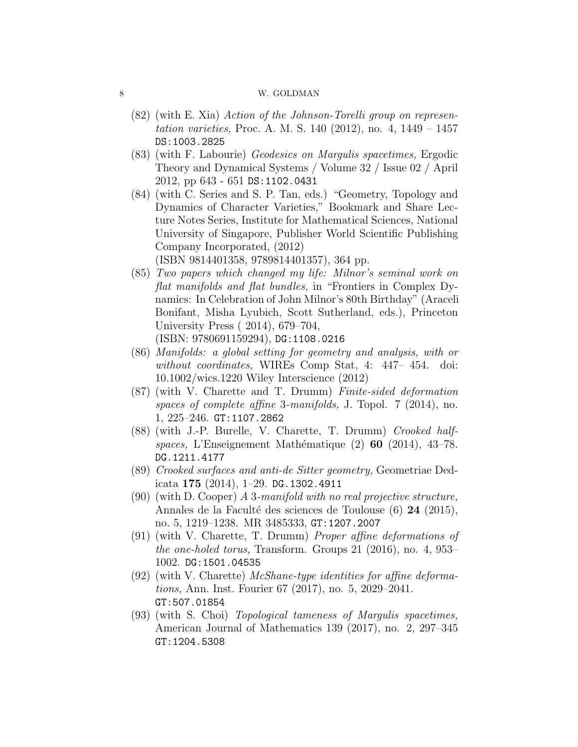- (82) (with E. Xia) Action of the Johnson-Torelli group on representation varieties, Proc. A. M. S. 140 (2012), no. 4, 1449 – 1457 DS:1003.2825
- (83) (with F. Labourie) Geodesics on Margulis spacetimes, Ergodic Theory and Dynamical Systems / Volume 32 / Issue 02 / April 2012, pp 643 - 651 DS:1102.0431
- (84) (with C. Series and S. P. Tan, eds.) "Geometry, Topology and Dynamics of Character Varieties," Bookmark and Share Lecture Notes Series, Institute for Mathematical Sciences, National University of Singapore, Publisher World Scientific Publishing Company Incorporated, (2012)

(ISBN 9814401358, 9789814401357), 364 pp.

- (85) Two papers which changed my life: Milnor's seminal work on flat manifolds and flat bundles, in "Frontiers in Complex Dynamics: In Celebration of John Milnor's 80th Birthday" (Araceli Bonifant, Misha Lyubich, Scott Sutherland, eds.), Princeton University Press ( 2014), 679–704, (ISBN: 9780691159294), DG:1108.0216
- (86) Manifolds: a global setting for geometry and analysis, with or without coordinates, WIREs Comp Stat, 4: 447– 454. doi: 10.1002/wics.1220 Wiley Interscience (2012)
- (87) (with V. Charette and T. Drumm) Finite-sided deformation spaces of complete affine 3-manifolds, J. Topol. 7 (2014), no. 1, 225–246. GT:1107.2862
- (88) (with J.-P. Burelle, V. Charette, T. Drumm) Crooked halfspaces, L'Enseignement Mathématique  $(2)$  60  $(2014)$ , 43–78. DG.1211.4177
- (89) Crooked surfaces and anti-de Sitter geometry, Geometriae Dedicata 175 (2014), 1–29. DG.1302.4911
- (90) (with D. Cooper) A 3-manifold with no real projective structure, Annales de la Faculté des sciences de Toulouse (6) 24 (2015), no. 5, 1219–1238. MR 3485333, GT:1207.2007
- (91) (with V. Charette, T. Drumm) Proper affine deformations of the one-holed torus, Transform. Groups 21 (2016), no. 4, 953– 1002. DG:1501.04535
- (92) (with V. Charette) McShane-type identities for affine deformations, Ann. Inst. Fourier 67 (2017), no. 5, 2029–2041. GT:507.01854
- (93) (with S. Choi) Topological tameness of Margulis spacetimes, American Journal of Mathematics 139 (2017), no. 2, 297–345 GT:1204.5308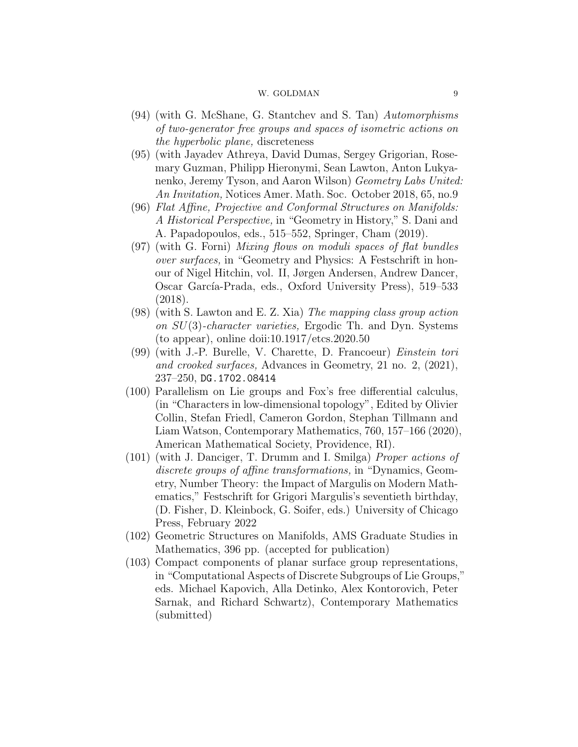- (94) (with G. McShane, G. Stantchev and S. Tan) Automorphisms of two-generator free groups and spaces of isometric actions on the hyperbolic plane, discreteness
- (95) (with Jayadev Athreya, David Dumas, Sergey Grigorian, Rosemary Guzman, Philipp Hieronymi, Sean Lawton, Anton Lukyanenko, Jeremy Tyson, and Aaron Wilson) Geometry Labs United: An Invitation, Notices Amer. Math. Soc. October 2018, 65, no.9
- (96) Flat Affine, Projective and Conformal Structures on Manifolds: A Historical Perspective, in "Geometry in History," S. Dani and A. Papadopoulos, eds., 515–552, Springer, Cham (2019).
- (97) (with G. Forni) Mixing flows on moduli spaces of flat bundles over surfaces, in "Geometry and Physics: A Festschrift in honour of Nigel Hitchin, vol. II, Jørgen Andersen, Andrew Dancer, Oscar García-Prada, eds., Oxford University Press), 519–533 (2018).
- (98) (with S. Lawton and E. Z. Xia) The mapping class group action on SU(3)-character varieties, Ergodic Th. and Dyn. Systems (to appear), online doii:10.1917/etcs.2020.50
- (99) (with J.-P. Burelle, V. Charette, D. Francoeur) Einstein tori and crooked surfaces, Advances in Geometry, 21 no. 2, (2021), 237–250, DG.1702.08414
- (100) Parallelism on Lie groups and Fox's free differential calculus, (in "Characters in low-dimensional topology", Edited by Olivier Collin, Stefan Friedl, Cameron Gordon, Stephan Tillmann and Liam Watson, Contemporary Mathematics, 760, 157–166 (2020), American Mathematical Society, Providence, RI).
- (101) (with J. Danciger, T. Drumm and I. Smilga) Proper actions of discrete groups of affine transformations, in "Dynamics, Geometry, Number Theory: the Impact of Margulis on Modern Mathematics," Festschrift for Grigori Margulis's seventieth birthday, (D. Fisher, D. Kleinbock, G. Soifer, eds.) University of Chicago Press, February 2022
- (102) Geometric Structures on Manifolds, AMS Graduate Studies in Mathematics, 396 pp. (accepted for publication)
- (103) Compact components of planar surface group representations, in "Computational Aspects of Discrete Subgroups of Lie Groups," eds. Michael Kapovich, Alla Detinko, Alex Kontorovich, Peter Sarnak, and Richard Schwartz), Contemporary Mathematics (submitted)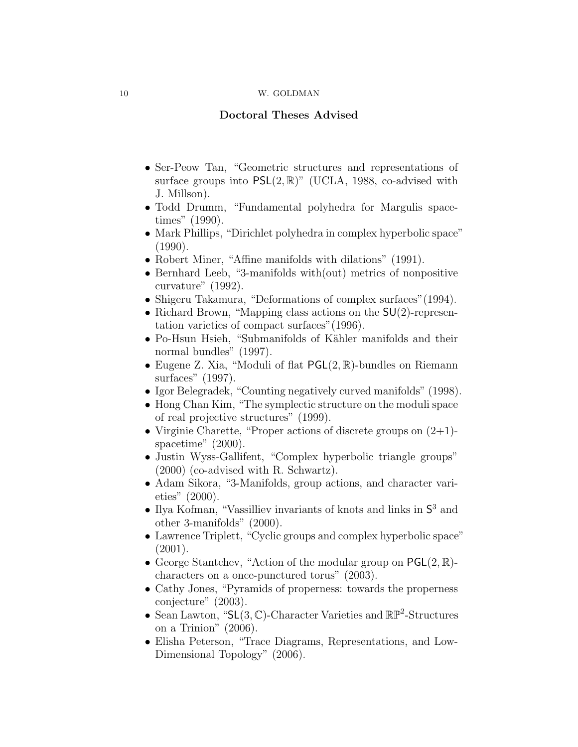# Doctoral Theses Advised

- Ser-Peow Tan, "Geometric structures and representations of surface groups into  $PSL(2,\mathbb{R})$ " (UCLA, 1988, co-advised with J. Millson).
- Todd Drumm, "Fundamental polyhedra for Margulis spacetimes" (1990).
- Mark Phillips, "Dirichlet polyhedra in complex hyperbolic space" (1990).
- Robert Miner, "Affine manifolds with dilations" (1991).
- Bernhard Leeb, "3-manifolds with(out) metrics of nonpositive curvature" (1992).
- Shigeru Takamura, "Deformations of complex surfaces" (1994).
- Richard Brown, "Mapping class actions on the  $SU(2)$ -representation varieties of compact surfaces"(1996).
- Po-Hsun Hsieh, "Submanifolds of Kähler manifolds and their normal bundles" (1997).
- Eugene Z. Xia, "Moduli of flat  $PGL(2,\mathbb{R})$ -bundles on Riemann surfaces" (1997).
- Igor Belegradek, "Counting negatively curved manifolds" (1998).
- Hong Chan Kim, "The symplectic structure on the moduli space of real projective structures" (1999).
- Virginie Charette, "Proper actions of discrete groups on  $(2+1)$ spacetime" (2000).
- Justin Wyss-Gallifent, "Complex hyperbolic triangle groups" (2000) (co-advised with R. Schwartz).
- Adam Sikora, "3-Manifolds, group actions, and character varieties" (2000).
- Ilya Kofman, "Vassilliev invariants of knots and links in  $S^3$  and other 3-manifolds" (2000).
- Lawrence Triplett, "Cyclic groups and complex hyperbolic space" (2001).
- George Stantchev, "Action of the modular group on  $\textsf{PGL}(2,\mathbb{R})$ characters on a once-punctured torus" (2003).
- Cathy Jones, "Pyramids of properness: towards the properness conjecture" (2003).
- Sean Lawton, " $SL(3, \mathbb{C})$ -Character Varieties and  $\mathbb{RP}^2$ -Structures on a Trinion" (2006).
- Elisha Peterson, "Trace Diagrams, Representations, and Low-Dimensional Topology" (2006).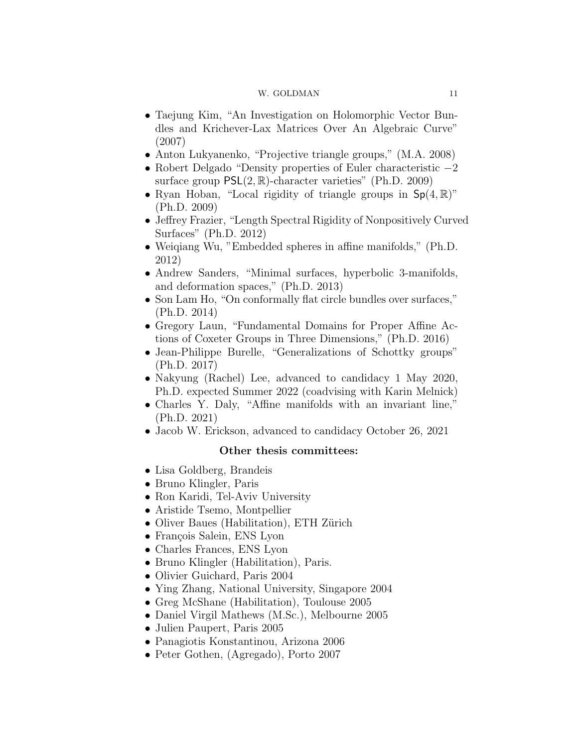- Taejung Kim, "An Investigation on Holomorphic Vector Bundles and Krichever-Lax Matrices Over An Algebraic Curve" (2007)
- Anton Lukyanenko, "Projective triangle groups," (M.A. 2008)
- Robert Delgado "Density properties of Euler characteristic −2 surface group  $PSL(2, \mathbb{R})$ -character varieties" (Ph.D. 2009)
- Ryan Hoban, "Local rigidity of triangle groups in  $Sp(4, \mathbb{R})$ " (Ph.D. 2009)
- Jeffrey Frazier, "Length Spectral Rigidity of Nonpositively Curved Surfaces" (Ph.D. 2012)
- Weiqiang Wu, "Embedded spheres in affine manifolds," (Ph.D. 2012)
- Andrew Sanders, "Minimal surfaces, hyperbolic 3-manifolds, and deformation spaces," (Ph.D. 2013)
- Son Lam Ho, "On conformally flat circle bundles over surfaces," (Ph.D. 2014)
- Gregory Laun, "Fundamental Domains for Proper Affine Actions of Coxeter Groups in Three Dimensions," (Ph.D. 2016)
- Jean-Philippe Burelle, "Generalizations of Schottky groups" (Ph.D. 2017)
- Nakyung (Rachel) Lee, advanced to candidacy 1 May 2020, Ph.D. expected Summer 2022 (coadvising with Karin Melnick)
- Charles Y. Daly, "Affine manifolds with an invariant line," (Ph.D. 2021)
- Jacob W. Erickson, advanced to candidacy October 26, 2021

# Other thesis committees:

- Lisa Goldberg, Brandeis
- Bruno Klingler, Paris
- Ron Karidi, Tel-Aviv University
- Aristide Tsemo, Montpellier
- Oliver Baues (Habilitation), ETH Zürich
- François Salein, ENS Lyon
- Charles Frances, ENS Lyon
- Bruno Klingler (Habilitation), Paris.
- Olivier Guichard, Paris 2004
- Ying Zhang, National University, Singapore 2004
- Greg McShane (Habilitation), Toulouse 2005
- Daniel Virgil Mathews (M.Sc.), Melbourne 2005
- Julien Paupert, Paris 2005
- Panagiotis Konstantinou, Arizona 2006
- Peter Gothen, (Agregado), Porto 2007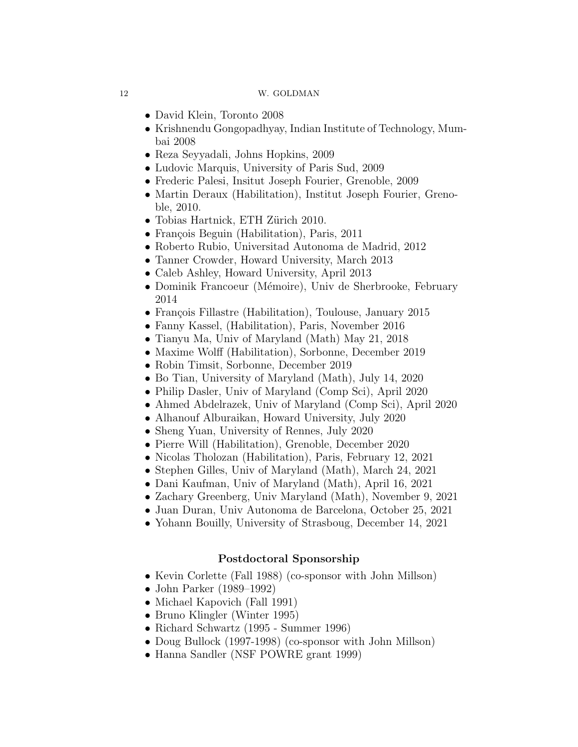- David Klein, Toronto 2008
- Krishnendu Gongopadhyay, Indian Institute of Technology, Mumbai 2008
- Reza Seyyadali, Johns Hopkins, 2009
- Ludovic Marquis, University of Paris Sud, 2009
- Frederic Palesi, Insitut Joseph Fourier, Grenoble, 2009
- Martin Deraux (Habilitation), Institut Joseph Fourier, Grenoble, 2010.
- Tobias Hartnick, ETH Zürich 2010.
- François Beguin (Habilitation), Paris, 2011
- Roberto Rubio, Universitad Autonoma de Madrid, 2012
- Tanner Crowder, Howard University, March 2013
- Caleb Ashley, Howard University, April 2013
- Dominik Francoeur (Mémoire), Univ de Sherbrooke, February 2014
- François Fillastre (Habilitation), Toulouse, January 2015
- Fanny Kassel, (Habilitation), Paris, November 2016
- Tianyu Ma, Univ of Maryland (Math) May 21, 2018
- Maxime Wolff (Habilitation), Sorbonne, December 2019
- Robin Timsit, Sorbonne, December 2019
- Bo Tian, University of Maryland (Math), July 14, 2020
- Philip Dasler, Univ of Maryland (Comp Sci), April 2020
- Ahmed Abdelrazek, Univ of Maryland (Comp Sci), April 2020
- Alhanouf Alburaikan, Howard University, July 2020
- Sheng Yuan, University of Rennes, July 2020
- Pierre Will (Habilitation), Grenoble, December 2020
- Nicolas Tholozan (Habilitation), Paris, February 12, 2021
- Stephen Gilles, Univ of Maryland (Math), March 24, 2021
- Dani Kaufman, Univ of Maryland (Math), April 16, 2021
- Zachary Greenberg, Univ Maryland (Math), November 9, 2021
- Juan Duran, Univ Autonoma de Barcelona, October 25, 2021
- Yohann Bouilly, University of Strasboug, December 14, 2021

# Postdoctoral Sponsorship

- Kevin Corlette (Fall 1988) (co-sponsor with John Millson)
- John Parker (1989–1992)
- Michael Kapovich (Fall 1991)
- Bruno Klingler (Winter 1995)
- Richard Schwartz (1995 Summer 1996)
- Doug Bullock (1997-1998) (co-sponsor with John Millson)
- Hanna Sandler (NSF POWRE grant 1999)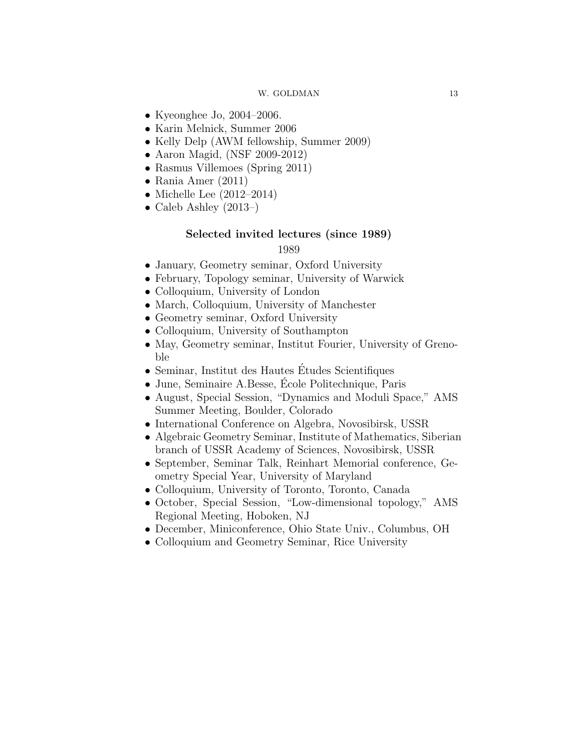- Kyeonghee Jo, 2004–2006.
- Karin Melnick, Summer 2006
- Kelly Delp (AWM fellowship, Summer 2009)
- Aaron Magid, (NSF 2009-2012)
- Rasmus Villemoes (Spring 2011)
- Rania Amer (2011)
- Michelle Lee (2012–2014)
- Caleb Ashley (2013–)

# Selected invited lectures (since 1989)

- January, Geometry seminar, Oxford University
- February, Topology seminar, University of Warwick
- Colloquium, University of London
- March, Colloquium, University of Manchester
- Geometry seminar, Oxford University
- Colloquium, University of Southampton
- May, Geometry seminar, Institut Fourier, University of Grenoble
- Seminar, Institut des Hautes Études Scientifiques
- June, Seminaire A.Besse, Ecole Politechnique, Paris ´
- August, Special Session, "Dynamics and Moduli Space," AMS Summer Meeting, Boulder, Colorado
- International Conference on Algebra, Novosibirsk, USSR
- Algebraic Geometry Seminar, Institute of Mathematics, Siberian branch of USSR Academy of Sciences, Novosibirsk, USSR
- September, Seminar Talk, Reinhart Memorial conference, Geometry Special Year, University of Maryland
- Colloquium, University of Toronto, Toronto, Canada
- October, Special Session, "Low-dimensional topology," AMS Regional Meeting, Hoboken, NJ
- December, Miniconference, Ohio State Univ., Columbus, OH
- Colloquium and Geometry Seminar, Rice University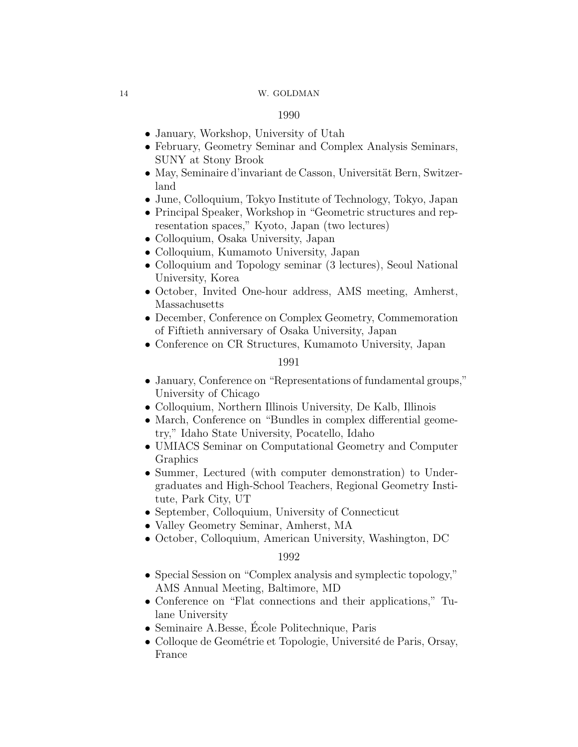### 1990

- January, Workshop, University of Utah
- February, Geometry Seminar and Complex Analysis Seminars, SUNY at Stony Brook
- May, Seminaire d'invariant de Casson, Universität Bern, Switzerland
- June, Colloquium, Tokyo Institute of Technology, Tokyo, Japan
- Principal Speaker, Workshop in "Geometric structures and representation spaces," Kyoto, Japan (two lectures)
- Colloquium, Osaka University, Japan
- Colloquium, Kumamoto University, Japan
- Colloquium and Topology seminar (3 lectures), Seoul National University, Korea
- October, Invited One-hour address, AMS meeting, Amherst, Massachusetts
- December, Conference on Complex Geometry, Commemoration of Fiftieth anniversary of Osaka University, Japan
- Conference on CR Structures, Kumamoto University, Japan

# 1991

- January, Conference on "Representations of fundamental groups," University of Chicago
- Colloquium, Northern Illinois University, De Kalb, Illinois
- March, Conference on "Bundles in complex differential geometry," Idaho State University, Pocatello, Idaho
- UMIACS Seminar on Computational Geometry and Computer Graphics
- Summer, Lectured (with computer demonstration) to Undergraduates and High-School Teachers, Regional Geometry Institute, Park City, UT
- September, Colloquium, University of Connecticut
- Valley Geometry Seminar, Amherst, MA
- October, Colloquium, American University, Washington, DC

- Special Session on "Complex analysis and symplectic topology," AMS Annual Meeting, Baltimore, MD
- Conference on "Flat connections and their applications," Tulane University
- Seminaire A.Besse, École Politechnique, Paris
- Colloque de Geométrie et Topologie, Université de Paris, Orsay, France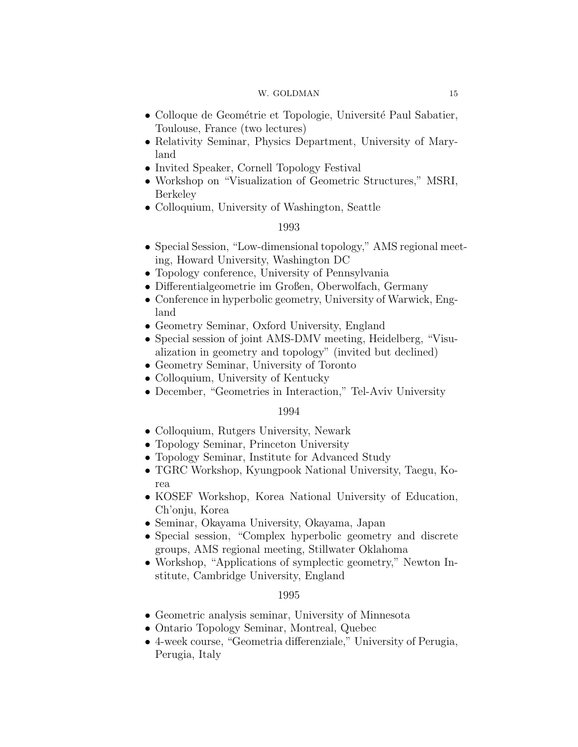- Colloque de Geométrie et Topologie, Université Paul Sabatier, Toulouse, France (two lectures)
- Relativity Seminar, Physics Department, University of Maryland
- Invited Speaker, Cornell Topology Festival
- Workshop on "Visualization of Geometric Structures," MSRI, Berkeley
- Colloquium, University of Washington, Seattle

### 1993

- Special Session, "Low-dimensional topology," AMS regional meeting, Howard University, Washington DC
- Topology conference, University of Pennsylvania
- Differentialgeometrie im Großen, Oberwolfach, Germany
- Conference in hyperbolic geometry, University of Warwick, England
- Geometry Seminar, Oxford University, England
- Special session of joint AMS-DMV meeting, Heidelberg, "Visualization in geometry and topology" (invited but declined)
- Geometry Seminar, University of Toronto
- Colloquium, University of Kentucky
- December, "Geometries in Interaction," Tel-Aviv University

### 1994

- Colloquium, Rutgers University, Newark
- Topology Seminar, Princeton University
- Topology Seminar, Institute for Advanced Study
- TGRC Workshop, Kyungpook National University, Taegu, Korea
- KOSEF Workshop, Korea National University of Education, Ch'onju, Korea
- Seminar, Okayama University, Okayama, Japan
- Special session, "Complex hyperbolic geometry and discrete groups, AMS regional meeting, Stillwater Oklahoma
- Workshop, "Applications of symplectic geometry," Newton Institute, Cambridge University, England

- Geometric analysis seminar, University of Minnesota
- Ontario Topology Seminar, Montreal, Quebec
- 4-week course, "Geometria differenziale," University of Perugia, Perugia, Italy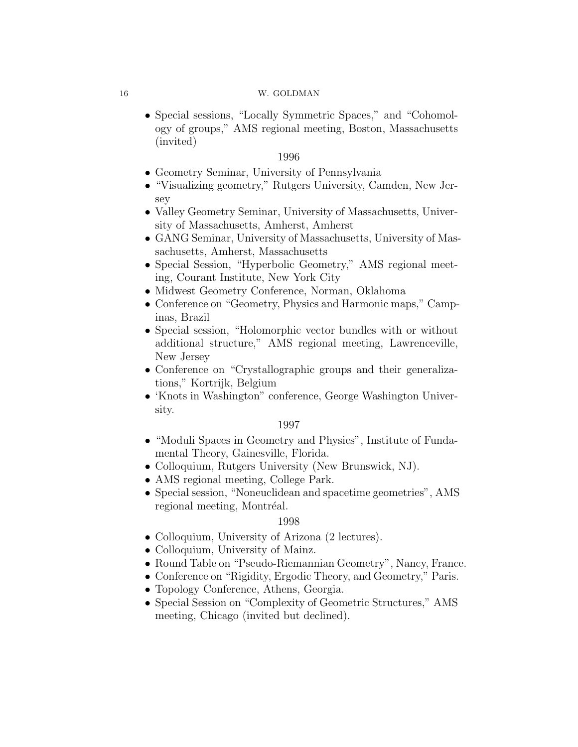• Special sessions, "Locally Symmetric Spaces," and "Cohomology of groups," AMS regional meeting, Boston, Massachusetts (invited)

### 1996

- Geometry Seminar, University of Pennsylvania
- "Visualizing geometry," Rutgers University, Camden, New Jersey
- Valley Geometry Seminar, University of Massachusetts, University of Massachusetts, Amherst, Amherst
- GANG Seminar, University of Massachusetts, University of Massachusetts, Amherst, Massachusetts
- Special Session, "Hyperbolic Geometry," AMS regional meeting, Courant Institute, New York City
- Midwest Geometry Conference, Norman, Oklahoma
- Conference on "Geometry, Physics and Harmonic maps," Campinas, Brazil
- Special session, "Holomorphic vector bundles with or without additional structure," AMS regional meeting, Lawrenceville, New Jersey
- Conference on "Crystallographic groups and their generalizations," Kortrijk, Belgium
- 'Knots in Washington" conference, George Washington University.

# 1997

- "Moduli Spaces in Geometry and Physics", Institute of Fundamental Theory, Gainesville, Florida.
- Colloquium, Rutgers University (New Brunswick, NJ).
- AMS regional meeting, College Park.
- Special session, "Noneuclidean and spacetime geometries", AMS regional meeting, Montréal.

- Colloquium, University of Arizona (2 lectures).
- Colloquium, University of Mainz.
- Round Table on "Pseudo-Riemannian Geometry", Nancy, France.
- Conference on "Rigidity, Ergodic Theory, and Geometry," Paris.
- Topology Conference, Athens, Georgia.
- Special Session on "Complexity of Geometric Structures," AMS meeting, Chicago (invited but declined).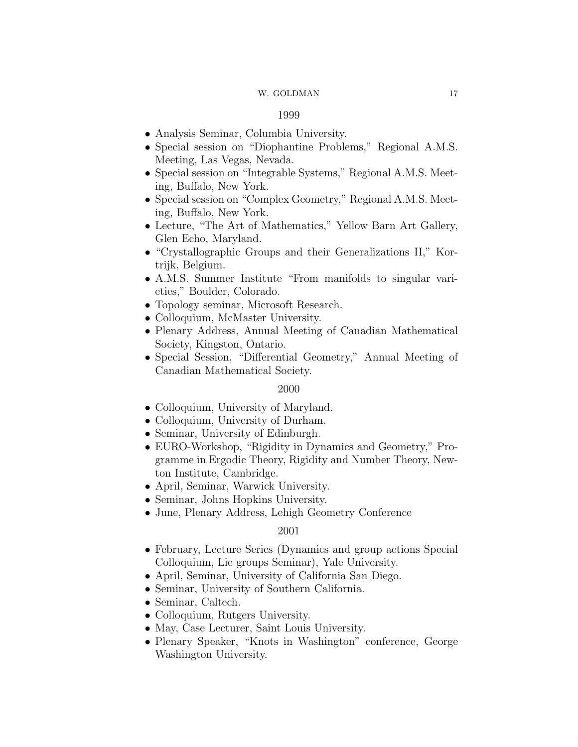### 1999

- Analysis Seminar, Columbia University.
- Special session on "Diophantine Problems," Regional A.M.S. Meeting, Las Vegas, Nevada.
- Special session on "Integrable Systems," Regional A.M.S. Meeting, Buffalo, New York.
- Special session on "Complex Geometry," Regional A.M.S. Meeting, Buffalo, New York.
- Lecture, "The Art of Mathematics," Yellow Barn Art Gallery, Glen Echo, Maryland.
- "Crystallographic Groups and their Generalizations II," Kortrijk, Belgium.
- A.M.S. Summer Institute "From manifolds to singular varieties," Boulder, Colorado.
- Topology seminar, Microsoft Research.
- Colloquium, McMaster University.
- Plenary Address, Annual Meeting of Canadian Mathematical Society, Kingston, Ontario.
- Special Session, "Differential Geometry," Annual Meeting of Canadian Mathematical Society.

## 2000

- Colloquium, University of Maryland.
- Colloquium, University of Durham.
- Seminar, University of Edinburgh.
- EURO-Workshop, "Rigidity in Dynamics and Geometry," Programme in Ergodic Theory, Rigidity and Number Theory, Newton Institute, Cambridge.
- April, Seminar, Warwick University.
- Seminar, Johns Hopkins University.
- June, Plenary Address, Lehigh Geometry Conference

- February, Lecture Series (Dynamics and group actions Special Colloquium, Lie groups Seminar), Yale University.
- April, Seminar, University of California San Diego.
- Seminar, University of Southern California.
- Seminar, Caltech.
- Colloquium, Rutgers University.
- May, Case Lecturer, Saint Louis University.
- Plenary Speaker, "Knots in Washington" conference, George Washington University.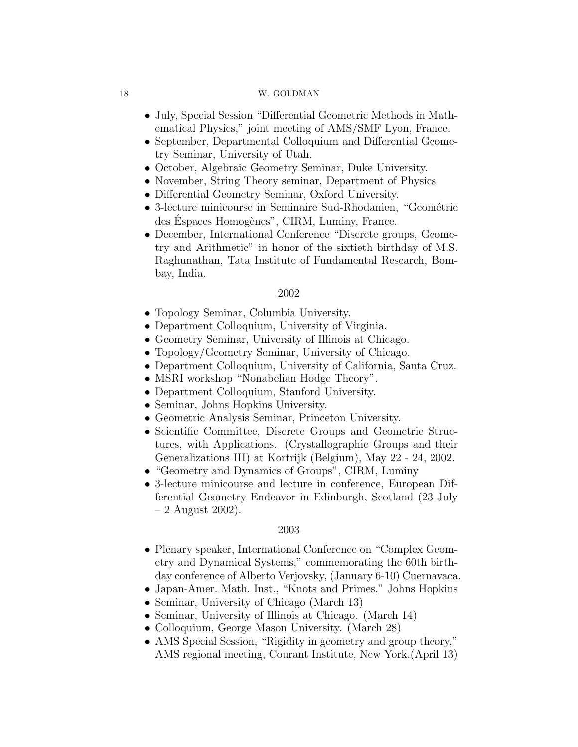- July, Special Session "Differential Geometric Methods in Mathematical Physics," joint meeting of AMS/SMF Lyon, France.
- September, Departmental Colloquium and Differential Geometry Seminar, University of Utah.
- October, Algebraic Geometry Seminar, Duke University.
- November, String Theory seminar, Department of Physics
- Differential Geometry Seminar, Oxford University.
- $\bullet$  3-lecture minicourse in Seminaire Sud-Rhodanien, "Geométrie des Espaces Homogènes", CIRM, Luminy, France.
- December, International Conference "Discrete groups, Geometry and Arithmetic" in honor of the sixtieth birthday of M.S. Raghunathan, Tata Institute of Fundamental Research, Bombay, India.

### 2002

- Topology Seminar, Columbia University.
- Department Colloquium, University of Virginia.
- Geometry Seminar, University of Illinois at Chicago.
- Topology/Geometry Seminar, University of Chicago.
- Department Colloquium, University of California, Santa Cruz.
- MSRI workshop "Nonabelian Hodge Theory".
- Department Colloquium, Stanford University.
- Seminar, Johns Hopkins University.
- Geometric Analysis Seminar, Princeton University.
- Scientific Committee, Discrete Groups and Geometric Structures, with Applications. (Crystallographic Groups and their Generalizations III) at Kortrijk (Belgium), May 22 - 24, 2002.
- "Geometry and Dynamics of Groups", CIRM, Luminy
- 3-lecture minicourse and lecture in conference, European Differential Geometry Endeavor in Edinburgh, Scotland (23 July  $-2$  August 2002).

- Plenary speaker, International Conference on "Complex Geometry and Dynamical Systems," commemorating the 60th birthday conference of Alberto Verjovsky, (January 6-10) Cuernavaca.
- Japan-Amer. Math. Inst., "Knots and Primes," Johns Hopkins
- Seminar, University of Chicago (March 13)
- Seminar, University of Illinois at Chicago. (March 14)
- Colloquium, George Mason University. (March 28)
- AMS Special Session, "Rigidity in geometry and group theory," AMS regional meeting, Courant Institute, New York.(April 13)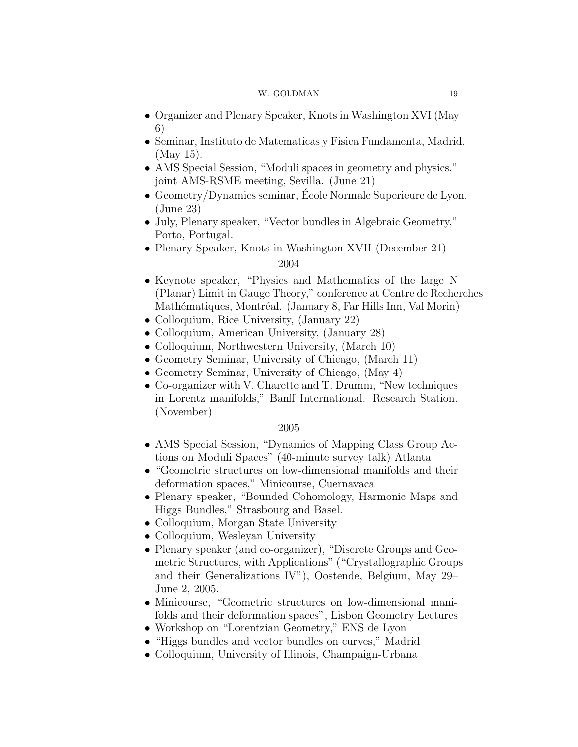- Organizer and Plenary Speaker, Knots in Washington XVI (May 6)
- Seminar, Instituto de Matematicas y Fisica Fundamenta, Madrid. (May 15).
- AMS Special Session, "Moduli spaces in geometry and physics," joint AMS-RSME meeting, Sevilla. (June 21)
- Geometry/Dynamics seminar, École Normale Superieure de Lyon. (June 23)
- July, Plenary speaker, "Vector bundles in Algebraic Geometry," Porto, Portugal.
- Plenary Speaker, Knots in Washington XVII (December 21)

# 2004

- Keynote speaker, "Physics and Mathematics of the large N (Planar) Limit in Gauge Theory," conference at Centre de Recherches Mathématiques, Montréal. (January 8, Far Hills Inn, Val Morin)
- Colloquium, Rice University, (January 22)
- Colloquium, American University, (January 28)
- Colloquium, Northwestern University, (March 10)
- Geometry Seminar, University of Chicago, (March 11)
- Geometry Seminar, University of Chicago, (May 4)
- Co-organizer with V. Charette and T. Drumm, "New techniques in Lorentz manifolds," Banff International. Research Station. (November)

- AMS Special Session, "Dynamics of Mapping Class Group Actions on Moduli Spaces" (40-minute survey talk) Atlanta
- "Geometric structures on low-dimensional manifolds and their deformation spaces," Minicourse, Cuernavaca
- Plenary speaker, "Bounded Cohomology, Harmonic Maps and Higgs Bundles," Strasbourg and Basel.
- Colloquium, Morgan State University
- Colloquium, Wesleyan University
- Plenary speaker (and co-organizer), "Discrete Groups and Geometric Structures, with Applications" ("Crystallographic Groups and their Generalizations IV"), Oostende, Belgium, May 29– June 2, 2005.
- Minicourse, "Geometric structures on low-dimensional manifolds and their deformation spaces", Lisbon Geometry Lectures
- Workshop on "Lorentzian Geometry," ENS de Lyon
- "Higgs bundles and vector bundles on curves," Madrid
- Colloquium, University of Illinois, Champaign-Urbana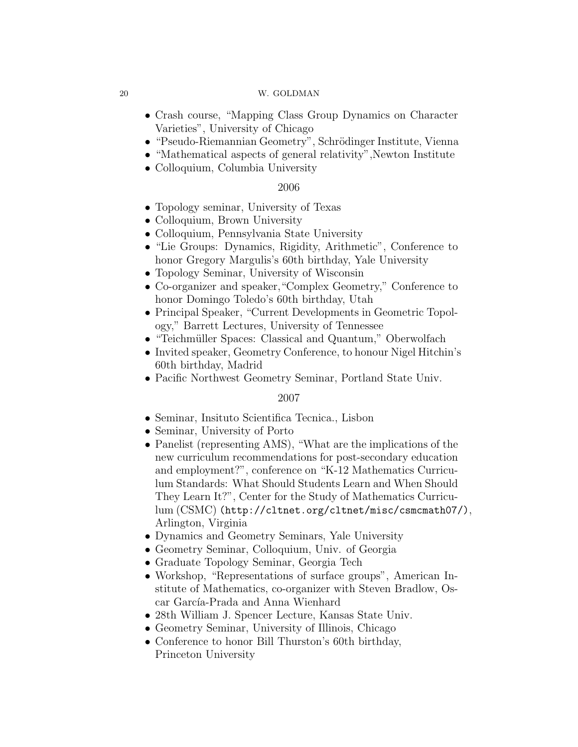- Crash course, "Mapping Class Group Dynamics on Character Varieties", University of Chicago
- "Pseudo-Riemannian Geometry", Schrödinger Institute, Vienna
- "Mathematical aspects of general relativity", Newton Institute
- Colloquium, Columbia University

# 2006

- Topology seminar, University of Texas
- Colloquium, Brown University
- Colloquium, Pennsylvania State University
- "Lie Groups: Dynamics, Rigidity, Arithmetic", Conference to honor Gregory Margulis's 60th birthday, Yale University
- Topology Seminar, University of Wisconsin
- Co-organizer and speaker,"Complex Geometry," Conference to honor Domingo Toledo's 60th birthday, Utah
- Principal Speaker, "Current Developments in Geometric Topology," Barrett Lectures, University of Tennessee
- "Teichmüller Spaces: Classical and Quantum," Oberwolfach
- Invited speaker, Geometry Conference, to honour Nigel Hitchin's 60th birthday, Madrid
- Pacific Northwest Geometry Seminar, Portland State Univ.

- Seminar, Insituto Scientifica Tecnica., Lisbon
- Seminar, University of Porto
- Panelist (representing AMS), "What are the implications of the new curriculum recommendations for post-secondary education and employment?", conference on "K-12 Mathematics Curriculum Standards: What Should Students Learn and When Should They Learn It?", Center for the Study of Mathematics Curriculum (CSMC) (http://cltnet.org/cltnet/misc/csmcmath07/), Arlington, Virginia
- Dynamics and Geometry Seminars, Yale University
- Geometry Seminar, Colloquium, Univ. of Georgia
- Graduate Topology Seminar, Georgia Tech
- Workshop, "Representations of surface groups", American Institute of Mathematics, co-organizer with Steven Bradlow, Oscar García-Prada and Anna Wienhard
- 28th William J. Spencer Lecture, Kansas State Univ.
- Geometry Seminar, University of Illinois, Chicago
- Conference to honor Bill Thurston's 60th birthday, Princeton University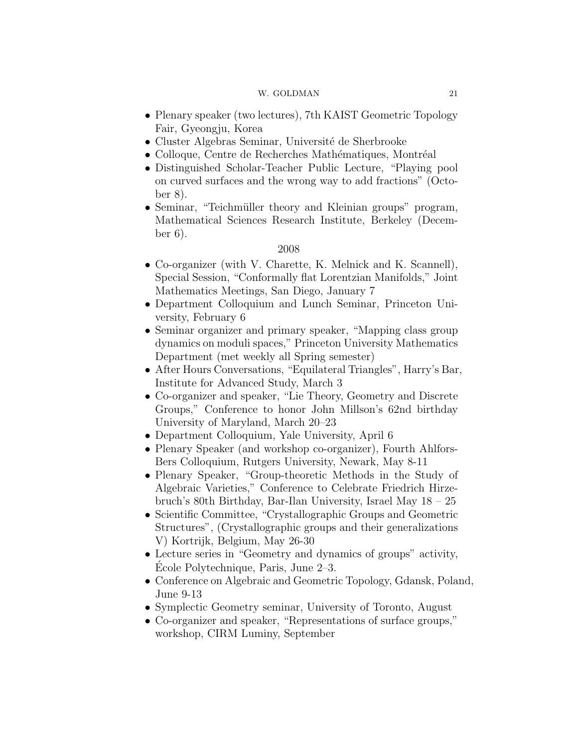- Plenary speaker (two lectures), 7th KAIST Geometric Topology Fair, Gyeongju, Korea
- $\bullet$  Cluster Algebras Seminar, Université de Sherbrooke
- Colloque, Centre de Recherches Mathématiques, Montréal
- Distinguished Scholar-Teacher Public Lecture, "Playing pool on curved surfaces and the wrong way to add fractions" (October 8).
- Seminar, "Teichmüller theory and Kleinian groups" program, Mathematical Sciences Research Institute, Berkeley (December 6).

- Co-organizer (with V. Charette, K. Melnick and K. Scannell), Special Session, "Conformally flat Lorentzian Manifolds," Joint Mathematics Meetings, San Diego, January 7
- Department Colloquium and Lunch Seminar, Princeton University, February 6
- Seminar organizer and primary speaker, "Mapping class group dynamics on moduli spaces," Princeton University Mathematics Department (met weekly all Spring semester)
- After Hours Conversations, "Equilateral Triangles", Harry's Bar, Institute for Advanced Study, March 3
- Co-organizer and speaker, "Lie Theory, Geometry and Discrete Groups," Conference to honor John Millson's 62nd birthday University of Maryland, March 20–23
- Department Colloquium, Yale University, April 6
- Plenary Speaker (and workshop co-organizer), Fourth Ahlfors-Bers Colloquium, Rutgers University, Newark, May 8-11
- Plenary Speaker, "Group-theoretic Methods in the Study of Algebraic Varieties," Conference to Celebrate Friedrich Hirzebruch's 80th Birthday, Bar-Ilan University, Israel May 18 – 25
- Scientific Committee, "Crystallographic Groups and Geometric Structures", (Crystallographic groups and their generalizations V) Kortrijk, Belgium, May 26-30
- Lecture series in "Geometry and dynamics of groups" activity, Ecole Polytechnique, Paris, June 2–3. ´
- Conference on Algebraic and Geometric Topology, Gdansk, Poland, June 9-13
- Symplectic Geometry seminar, University of Toronto, August
- Co-organizer and speaker, "Representations of surface groups," workshop, CIRM Luminy, September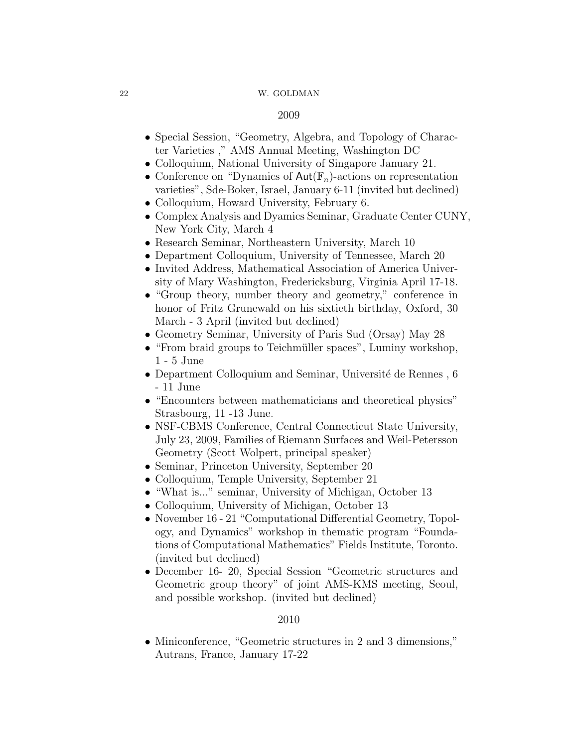## 2009

- Special Session, "Geometry, Algebra, and Topology of Character Varieties ," AMS Annual Meeting, Washington DC
- Colloquium, National University of Singapore January 21.
- Conference on "Dynamics of  $Aut(\mathbb{F}_n)$ -actions on representation varieties", Sde-Boker, Israel, January 6-11 (invited but declined)
- Colloquium, Howard University, February 6.
- Complex Analysis and Dyamics Seminar, Graduate Center CUNY, New York City, March 4
- Research Seminar, Northeastern University, March 10
- Department Colloquium, University of Tennessee, March 20
- Invited Address, Mathematical Association of America University of Mary Washington, Fredericksburg, Virginia April 17-18.
- "Group theory, number theory and geometry," conference in honor of Fritz Grunewald on his sixtieth birthday, Oxford, 30 March - 3 April (invited but declined)
- Geometry Seminar, University of Paris Sud (Orsay) May 28
- "From braid groups to Teichmüller spaces", Luminy workshop, 1 - 5 June
- Department Colloquium and Seminar, Université de Rennes,  $6$ - 11 June
- "Encounters between mathematicians and theoretical physics" Strasbourg, 11 -13 June.
- NSF-CBMS Conference, Central Connecticut State University, July 23, 2009, Families of Riemann Surfaces and Weil-Petersson Geometry (Scott Wolpert, principal speaker)
- Seminar, Princeton University, September 20
- Colloquium, Temple University, September 21
- "What is..." seminar, University of Michigan, October 13
- Colloquium, University of Michigan, October 13
- November 16 21 "Computational Differential Geometry, Topology, and Dynamics" workshop in thematic program "Foundations of Computational Mathematics" Fields Institute, Toronto. (invited but declined)
- December 16- 20, Special Session "Geometric structures and Geometric group theory" of joint AMS-KMS meeting, Seoul, and possible workshop. (invited but declined)

### 2010

• Miniconference, "Geometric structures in 2 and 3 dimensions," Autrans, France, January 17-22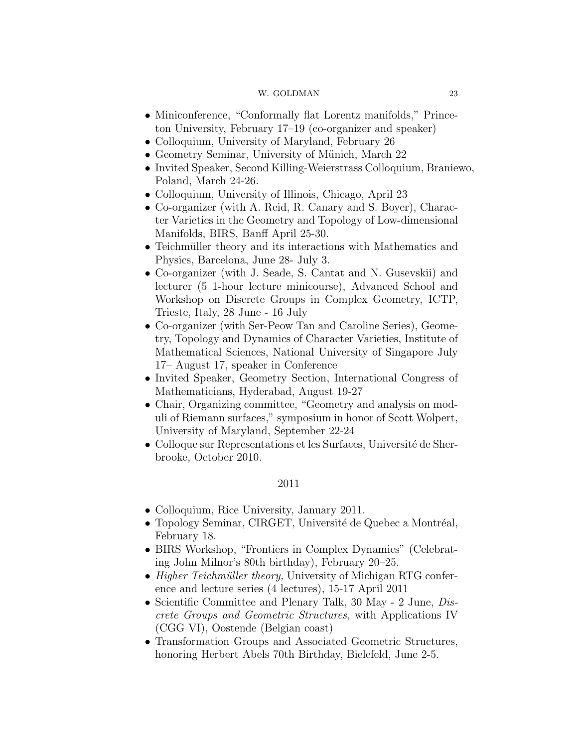- Miniconference, "Conformally flat Lorentz manifolds," Princeton University, February 17–19 (co-organizer and speaker)
- Colloquium, University of Maryland, February 26
- Geometry Seminar, University of Münich, March 22
- Invited Speaker, Second Killing-Weierstrass Colloquium, Braniewo, Poland, March 24-26.
- Colloquium, University of Illinois, Chicago, April 23
- Co-organizer (with A. Reid, R. Canary and S. Boyer), Character Varieties in the Geometry and Topology of Low-dimensional Manifolds, BIRS, Banff April 25-30.
- Teichmüller theory and its interactions with Mathematics and Physics, Barcelona, June 28- July 3.
- Co-organizer (with J. Seade, S. Cantat and N. Gusevskii) and lecturer (5 1-hour lecture minicourse), Advanced School and Workshop on Discrete Groups in Complex Geometry, ICTP, Trieste, Italy, 28 June - 16 July
- Co-organizer (with Ser-Peow Tan and Caroline Series), Geometry, Topology and Dynamics of Character Varieties, Institute of Mathematical Sciences, National University of Singapore July 17– August 17, speaker in Conference
- Invited Speaker, Geometry Section, International Congress of Mathematicians, Hyderabad, August 19-27
- Chair, Organizing committee, "Geometry and analysis on moduli of Riemann surfaces," symposium in honor of Scott Wolpert, University of Maryland, September 22-24
- Colloque sur Representations et les Surfaces, Université de Sherbrooke, October 2010.

- Colloquium, Rice University, January 2011.
- Topology Seminar, CIRGET, Université de Quebec a Montréal, February 18.
- BIRS Workshop, "Frontiers in Complex Dynamics" (Celebrating John Milnor's 80th birthday), February 20–25.
- Higher Teichmüller theory, University of Michigan RTG conference and lecture series (4 lectures), 15-17 April 2011
- Scientific Committee and Plenary Talk, 30 May 2 June, Discrete Groups and Geometric Structures, with Applications IV (CGG VI), Oostende (Belgian coast)
- Transformation Groups and Associated Geometric Structures, honoring Herbert Abels 70th Birthday, Bielefeld, June 2-5.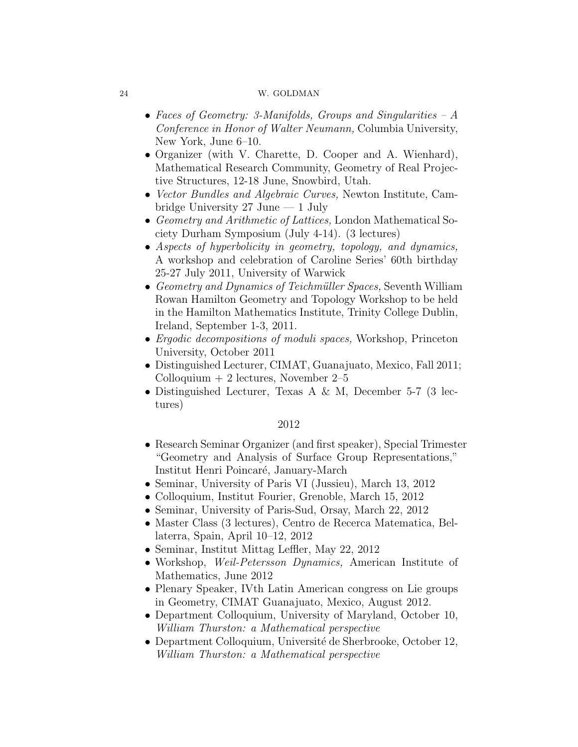- Faces of Geometry: 3-Manifolds, Groups and Singularities A Conference in Honor of Walter Neumann, Columbia University, New York, June 6–10.
- Organizer (with V. Charette, D. Cooper and A. Wienhard), Mathematical Research Community, Geometry of Real Projective Structures, 12-18 June, Snowbird, Utah.
- *Vector Bundles and Algebraic Curves*, Newton Institute, Cambridge University 27 June — 1 July
- Geometry and Arithmetic of Lattices, London Mathematical Society Durham Symposium (July 4-14). (3 lectures)
- Aspects of hyperbolicity in geometry, topology, and dynamics, A workshop and celebration of Caroline Series' 60th birthday 25-27 July 2011, University of Warwick
- Geometry and Dynamics of Teichmüller Spaces, Seventh William Rowan Hamilton Geometry and Topology Workshop to be held in the Hamilton Mathematics Institute, Trinity College Dublin, Ireland, September 1-3, 2011.
- Ergodic decompositions of moduli spaces, Workshop, Princeton University, October 2011
- Distinguished Lecturer, CIMAT, Guanajuato, Mexico, Fall 2011; Colloquium  $+2$  lectures, November 2–5
- Distinguished Lecturer, Texas A & M, December 5-7 (3 lectures)

- Research Seminar Organizer (and first speaker), Special Trimester "Geometry and Analysis of Surface Group Representations," Institut Henri Poincar´e, January-March
- Seminar, University of Paris VI (Jussieu), March 13, 2012
- Colloquium, Institut Fourier, Grenoble, March 15, 2012
- Seminar, University of Paris-Sud, Orsay, March 22, 2012
- Master Class (3 lectures), Centro de Recerca Matematica, Bellaterra, Spain, April 10–12, 2012
- Seminar, Institut Mittag Leffler, May 22, 2012
- Workshop, *Weil-Petersson Dynamics*, American Institute of Mathematics, June 2012
- Plenary Speaker, IVth Latin American congress on Lie groups in Geometry, CIMAT Guanajuato, Mexico, August 2012.
- Department Colloquium, University of Maryland, October 10, William Thurston: a Mathematical perspective
- Department Colloquium, Université de Sherbrooke, October 12, William Thurston: a Mathematical perspective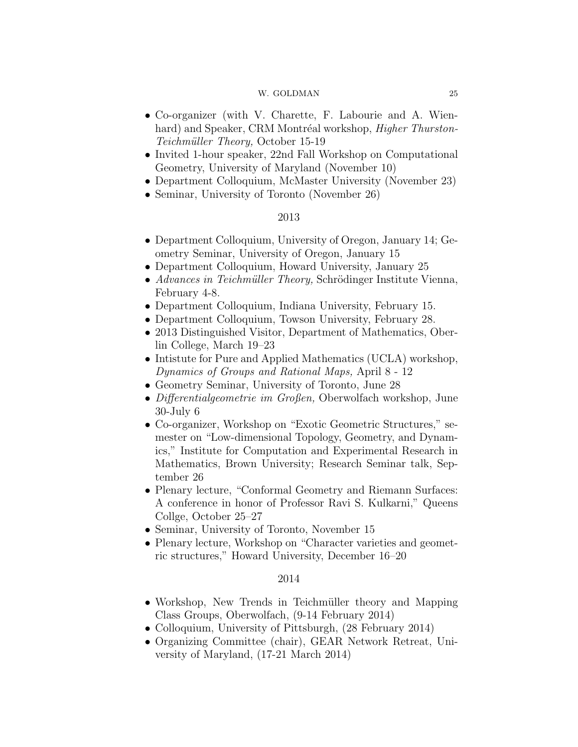- Co-organizer (with V. Charette, F. Labourie and A. Wienhard) and Speaker, CRM Montréal workshop, *Higher Thurston*-Teichmüller Theory, October 15-19
- Invited 1-hour speaker, 22nd Fall Workshop on Computational Geometry, University of Maryland (November 10)
- Department Colloquium, McMaster University (November 23)
- Seminar, University of Toronto (November 26)

# 2013

- Department Colloquium, University of Oregon, January 14; Geometry Seminar, University of Oregon, January 15
- Department Colloquium, Howard University, January 25
- Advances in Teichmüller Theory, Schrödinger Institute Vienna, February 4-8.
- Department Colloquium, Indiana University, February 15.
- Department Colloquium, Towson University, February 28.
- 2013 Distinguished Visitor, Department of Mathematics, Oberlin College, March 19–23
- Intistute for Pure and Applied Mathematics (UCLA) workshop, Dynamics of Groups and Rational Maps, April 8 - 12
- Geometry Seminar, University of Toronto, June 28
- Differentialgeometrie im Großen, Oberwolfach workshop, June 30-July 6
- Co-organizer, Workshop on "Exotic Geometric Structures," semester on "Low-dimensional Topology, Geometry, and Dynamics," Institute for Computation and Experimental Research in Mathematics, Brown University; Research Seminar talk, September 26
- Plenary lecture, "Conformal Geometry and Riemann Surfaces: A conference in honor of Professor Ravi S. Kulkarni," Queens Collge, October 25–27
- Seminar, University of Toronto, November 15
- Plenary lecture, Workshop on "Character varieties and geometric structures," Howard University, December 16–20

- Workshop, New Trends in Teichmüller theory and Mapping Class Groups, Oberwolfach, (9-14 February 2014)
- Colloquium, University of Pittsburgh,  $(28$  February 2014)
- Organizing Committee (chair), GEAR Network Retreat, University of Maryland, (17-21 March 2014)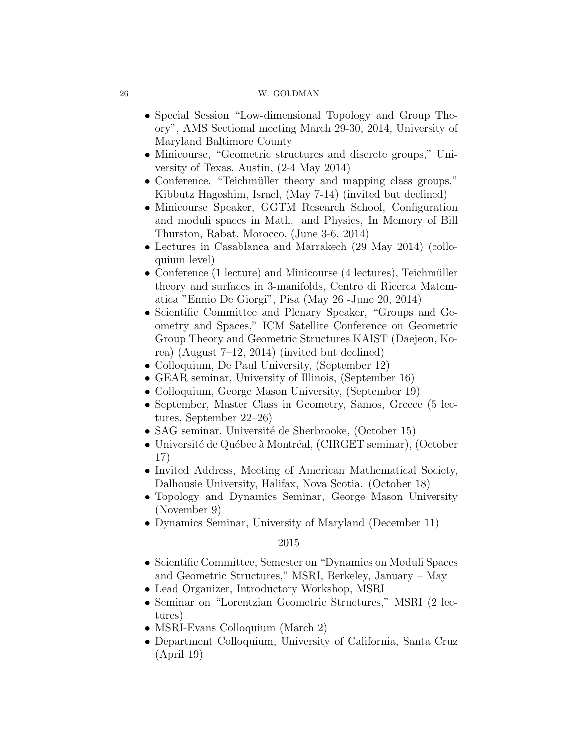- Special Session "Low-dimensional Topology and Group Theory", AMS Sectional meeting March 29-30, 2014, University of Maryland Baltimore County
- Minicourse, "Geometric structures and discrete groups," University of Texas, Austin, (2-4 May 2014)
- Conference, "Teichmüller theory and mapping class groups," Kibbutz Hagoshim, Israel, (May 7-14) (invited but declined)
- Minicourse Speaker, GGTM Research School, Configuration and moduli spaces in Math. and Physics, In Memory of Bill Thurston, Rabat, Morocco, (June 3-6, 2014)
- Lectures in Casablanca and Marrakech (29 May 2014) (colloquium level)
- Conference  $(1 \text{ lecture})$  and Minicourse  $(4 \text{ lectures})$ , Teichmüller theory and surfaces in 3-manifolds, Centro di Ricerca Matematica "Ennio De Giorgi", Pisa (May 26 -June 20, 2014)
- Scientific Committee and Plenary Speaker, "Groups and Geometry and Spaces," ICM Satellite Conference on Geometric Group Theory and Geometric Structures KAIST (Daejeon, Korea) (August 7–12, 2014) (invited but declined)
- Colloquium, De Paul University, (September 12)
- GEAR seminar, University of Illinois, (September 16)
- Colloquium, George Mason University, (September 19)
- September, Master Class in Geometry, Samos, Greece (5 lectures, September 22–26)
- SAG seminar, Université de Sherbrooke, (October 15)
- Université de Québec à Montréal, (CIRGET seminar), (October 17)
- Invited Address, Meeting of American Mathematical Society, Dalhousie University, Halifax, Nova Scotia. (October 18)
- Topology and Dynamics Seminar, George Mason University (November 9)
- Dynamics Seminar, University of Maryland (December 11)

- Scientific Committee, Semester on "Dynamics on Moduli Spaces and Geometric Structures," MSRI, Berkeley, January – May
- Lead Organizer, Introductory Workshop, MSRI
- Seminar on "Lorentzian Geometric Structures," MSRI (2 lectures)
- MSRI-Evans Colloquium (March 2)
- Department Colloquium, University of California, Santa Cruz (April 19)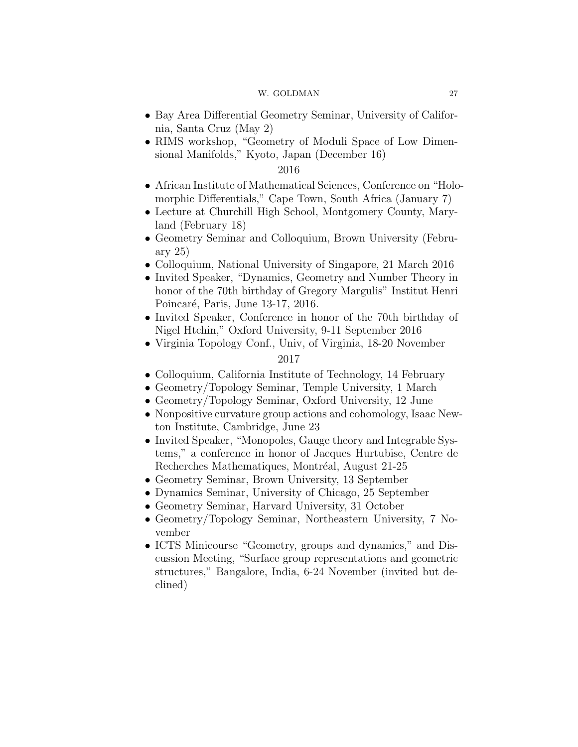- Bay Area Differential Geometry Seminar, University of California, Santa Cruz (May 2)
- RIMS workshop, "Geometry of Moduli Space of Low Dimensional Manifolds," Kyoto, Japan (December 16)

# 2016

- African Institute of Mathematical Sciences, Conference on "Holomorphic Differentials," Cape Town, South Africa (January 7)
- Lecture at Churchill High School, Montgomery County, Maryland (February 18)
- Geometry Seminar and Colloquium, Brown University (February 25)
- Colloquium, National University of Singapore, 21 March 2016
- Invited Speaker, "Dynamics, Geometry and Number Theory in honor of the 70th birthday of Gregory Margulis" Institut Henri Poincaré, Paris, June 13-17, 2016.
- Invited Speaker, Conference in honor of the 70th birthday of Nigel Htchin," Oxford University, 9-11 September 2016
- Virginia Topology Conf., Univ, of Virginia, 18-20 November

- Colloquium, California Institute of Technology, 14 February
- Geometry/Topology Seminar, Temple University, 1 March
- Geometry/Topology Seminar, Oxford University, 12 June
- Nonpositive curvature group actions and cohomology, Isaac Newton Institute, Cambridge, June 23
- Invited Speaker, "Monopoles, Gauge theory and Integrable Systems," a conference in honor of Jacques Hurtubise, Centre de Recherches Mathematiques, Montréal, August 21-25
- Geometry Seminar, Brown University, 13 September
- Dynamics Seminar, University of Chicago, 25 September
- Geometry Seminar, Harvard University, 31 October
- Geometry/Topology Seminar, Northeastern University, 7 November
- ICTS Minicourse "Geometry, groups and dynamics," and Discussion Meeting, "Surface group representations and geometric structures," Bangalore, India, 6-24 November (invited but declined)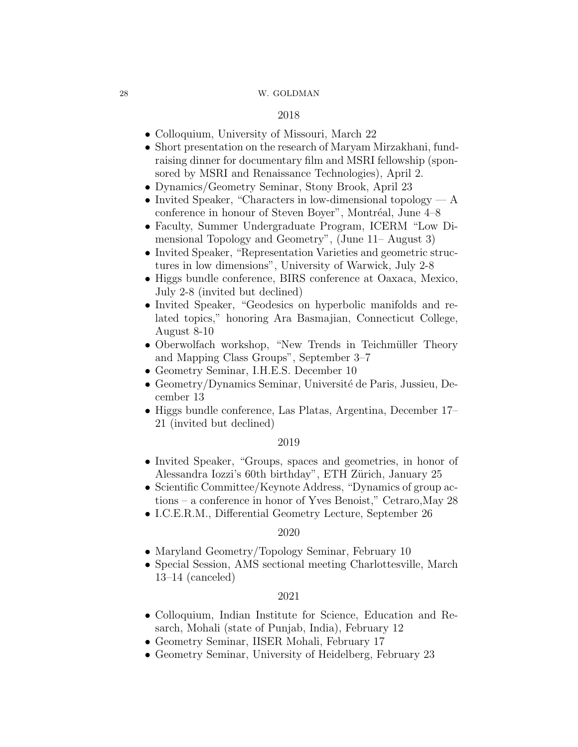# 2018

- Colloquium, University of Missouri, March 22
- Short presentation on the research of Maryam Mirzakhani, fundraising dinner for documentary film and MSRI fellowship (sponsored by MSRI and Renaissance Technologies), April 2.
- Dynamics/Geometry Seminar, Stony Brook, April 23
- Invited Speaker, "Characters in low-dimensional topology  $-A$ conference in honour of Steven Boyer", Montréal, June  $4-8$
- Faculty, Summer Undergraduate Program, ICERM "Low Dimensional Topology and Geometry", (June 11– August 3)
- Invited Speaker, "Representation Varieties and geometric structures in low dimensions", University of Warwick, July 2-8
- Higgs bundle conference, BIRS conference at Oaxaca, Mexico, July 2-8 (invited but declined)
- Invited Speaker, "Geodesics on hyperbolic manifolds and related topics," honoring Ara Basmajian, Connecticut College, August 8-10
- Oberwolfach workshop, "New Trends in Teichmüller Theory and Mapping Class Groups", September 3–7
- Geometry Seminar, I.H.E.S. December 10
- Geometry/Dynamics Seminar, Université de Paris, Jussieu, December 13
- Higgs bundle conference, Las Platas, Argentina, December 17– 21 (invited but declined)

# 2019

- Invited Speaker, "Groups, spaces and geometries, in honor of Alessandra Iozzi's 60th birthday", ETH Zürich, January 25
- Scientific Committee/Keynote Address, "Dynamics of group actions – a conference in honor of Yves Benoist," Cetraro,May 28
- I.C.E.R.M., Differential Geometry Lecture, September 26

### 2020

- Maryland Geometry/Topology Seminar, February 10
- Special Session, AMS sectional meeting Charlottesville, March 13–14 (canceled)

- Colloquium, Indian Institute for Science, Education and Resarch, Mohali (state of Punjab, India), February 12
- Geometry Seminar, IISER Mohali, February 17
- Geometry Seminar, University of Heidelberg, February 23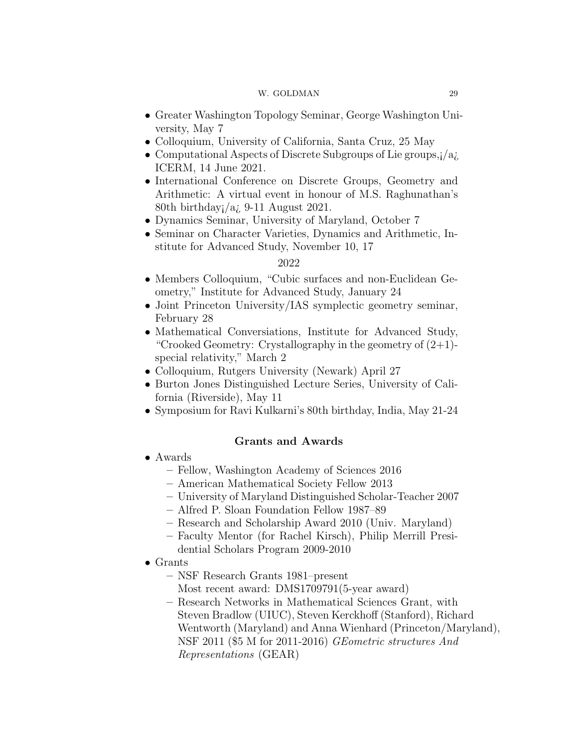- Greater Washington Topology Seminar, George Washington University, May 7
- Colloquium, University of California, Santa Cruz, 25 May
- Computational Aspects of Discrete Subgroups of Lie groups, $i/a$ *i*. ICERM, 14 June 2021.
- International Conference on Discrete Groups, Geometry and Arithmetic: A virtual event in honour of M.S. Raghunathan's 80th birthday;  $/a$ ; 9-11 August 2021.
- Dynamics Seminar, University of Maryland, October 7
- Seminar on Character Varieties, Dynamics and Arithmetic, Institute for Advanced Study, November 10, 17

# 2022

- Members Colloquium, "Cubic surfaces and non-Euclidean Geometry," Institute for Advanced Study, January 24
- Joint Princeton University/IAS symplectic geometry seminar, February 28
- Mathematical Conversiations, Institute for Advanced Study, "Crooked Geometry: Crystallography in the geometry of  $(2+1)$ special relativity," March 2
- Colloquium, Rutgers University (Newark) April 27
- Burton Jones Distinguished Lecture Series, University of California (Riverside), May 11
- Symposium for Ravi Kulkarni's 80th birthday, India, May 21-24

# Grants and Awards

- Awards
	- Fellow, Washington Academy of Sciences 2016
	- American Mathematical Society Fellow 2013
	- University of Maryland Distinguished Scholar-Teacher 2007
	- Alfred P. Sloan Foundation Fellow 1987–89
	- Research and Scholarship Award 2010 (Univ. Maryland)
	- Faculty Mentor (for Rachel Kirsch), Philip Merrill Presidential Scholars Program 2009-2010
- Grants
	- NSF Research Grants 1981–present
	- Most recent award: DMS1709791(5-year award)
	- Research Networks in Mathematical Sciences Grant, with Steven Bradlow (UIUC), Steven Kerckhoff (Stanford), Richard Wentworth (Maryland) and Anna Wienhard (Princeton/Maryland), NSF 2011 (\$5 M for 2011-2016) GEometric structures And Representations (GEAR)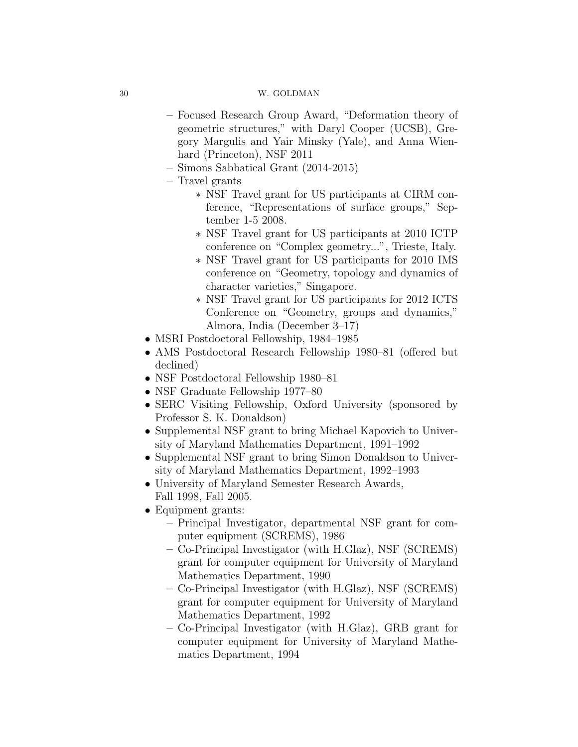- Focused Research Group Award, "Deformation theory of geometric structures," with Daryl Cooper (UCSB), Gregory Margulis and Yair Minsky (Yale), and Anna Wienhard (Princeton), NSF 2011
- Simons Sabbatical Grant (2014-2015)
- Travel grants
	- ∗ NSF Travel grant for US participants at CIRM conference, "Representations of surface groups," September 1-5 2008.
	- ∗ NSF Travel grant for US participants at 2010 ICTP conference on "Complex geometry...", Trieste, Italy.
	- ∗ NSF Travel grant for US participants for 2010 IMS conference on "Geometry, topology and dynamics of character varieties," Singapore.
	- ∗ NSF Travel grant for US participants for 2012 ICTS Conference on "Geometry, groups and dynamics," Almora, India (December 3–17)
- MSRI Postdoctoral Fellowship, 1984–1985
- AMS Postdoctoral Research Fellowship 1980–81 (offered but declined)
- NSF Postdoctoral Fellowship 1980–81
- NSF Graduate Fellowship 1977–80
- SERC Visiting Fellowship, Oxford University (sponsored by Professor S. K. Donaldson)
- Supplemental NSF grant to bring Michael Kapovich to University of Maryland Mathematics Department, 1991–1992
- Supplemental NSF grant to bring Simon Donaldson to University of Maryland Mathematics Department, 1992–1993
- University of Maryland Semester Research Awards, Fall 1998, Fall 2005.
- Equipment grants:
	- Principal Investigator, departmental NSF grant for computer equipment (SCREMS), 1986
	- Co-Principal Investigator (with H.Glaz), NSF (SCREMS) grant for computer equipment for University of Maryland Mathematics Department, 1990
	- Co-Principal Investigator (with H.Glaz), NSF (SCREMS) grant for computer equipment for University of Maryland Mathematics Department, 1992
	- Co-Principal Investigator (with H.Glaz), GRB grant for computer equipment for University of Maryland Mathematics Department, 1994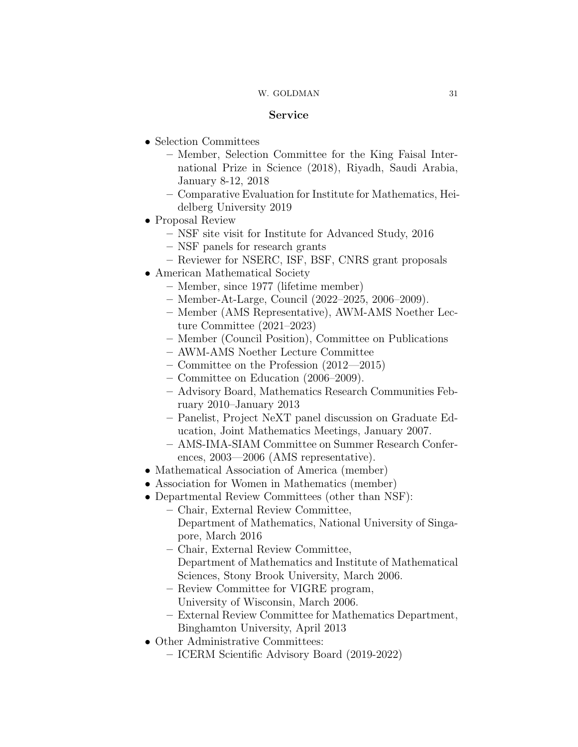# Service

- Selection Committees
	- Member, Selection Committee for the King Faisal International Prize in Science (2018), Riyadh, Saudi Arabia, January 8-12, 2018
	- Comparative Evaluation for Institute for Mathematics, Heidelberg University 2019
- Proposal Review
	- NSF site visit for Institute for Advanced Study, 2016
	- NSF panels for research grants
	- Reviewer for NSERC, ISF, BSF, CNRS grant proposals
- American Mathematical Society
	- Member, since 1977 (lifetime member)
	- Member-At-Large, Council (2022–2025, 2006–2009).
	- Member (AMS Representative), AWM-AMS Noether Lecture Committee (2021–2023)
	- Member (Council Position), Committee on Publications
	- AWM-AMS Noether Lecture Committee
	- Committee on the Profession (2012—2015)
	- Committee on Education (2006–2009).
	- Advisory Board, Mathematics Research Communities February 2010–January 2013
	- Panelist, Project NeXT panel discussion on Graduate Education, Joint Mathematics Meetings, January 2007.
	- AMS-IMA-SIAM Committee on Summer Research Conferences, 2003—2006 (AMS representative).
- Mathematical Association of America (member)
- Association for Women in Mathematics (member)
- Departmental Review Committees (other than NSF):
	- Chair, External Review Committee,
		- Department of Mathematics, National University of Singapore, March 2016
		- Chair, External Review Committee, Department of Mathematics and Institute of Mathematical Sciences, Stony Brook University, March 2006.
		- Review Committee for VIGRE program, University of Wisconsin, March 2006.
		- External Review Committee for Mathematics Department, Binghamton University, April 2013
- Other Administrative Committees:
	- ICERM Scientific Advisory Board (2019-2022)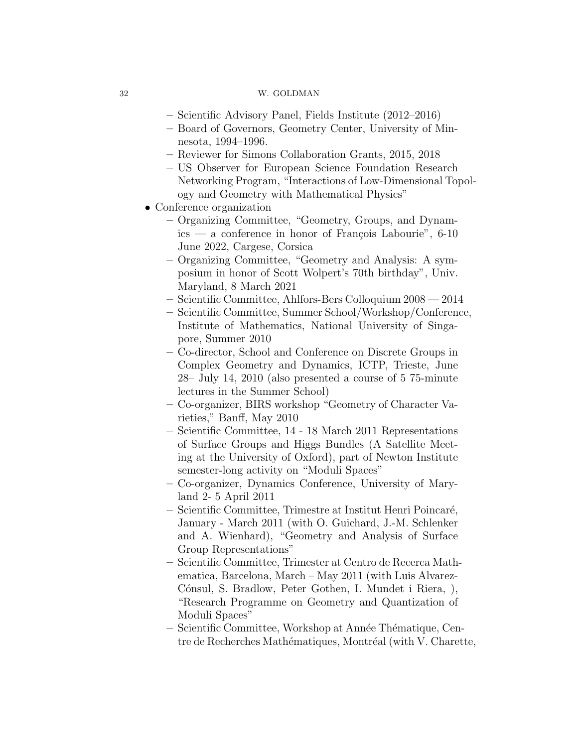- Scientific Advisory Panel, Fields Institute (2012–2016)
- Board of Governors, Geometry Center, University of Minnesota, 1994–1996.
- Reviewer for Simons Collaboration Grants, 2015, 2018
- US Observer for European Science Foundation Research Networking Program, "Interactions of Low-Dimensional Topology and Geometry with Mathematical Physics"
- Conference organization
	- Organizing Committee, "Geometry, Groups, and Dynam $ics - a$  conference in honor of François Labourie", 6-10 June 2022, Cargese, Corsica
	- Organizing Committee, "Geometry and Analysis: A symposium in honor of Scott Wolpert's 70th birthday", Univ. Maryland, 8 March 2021
	- Scientific Committee, Ahlfors-Bers Colloquium 2008 2014
	- Scientific Committee, Summer School/Workshop/Conference, Institute of Mathematics, National University of Singapore, Summer 2010
	- Co-director, School and Conference on Discrete Groups in Complex Geometry and Dynamics, ICTP, Trieste, June 28– July 14, 2010 (also presented a course of 5 75-minute lectures in the Summer School)
	- Co-organizer, BIRS workshop "Geometry of Character Varieties," Banff, May 2010
	- Scientific Committee, 14 18 March 2011 Representations of Surface Groups and Higgs Bundles (A Satellite Meeting at the University of Oxford), part of Newton Institute semester-long activity on "Moduli Spaces"
	- Co-organizer, Dynamics Conference, University of Maryland 2- 5 April 2011
	- Scientific Committee, Trimestre at Institut Henri Poincar´e, January - March 2011 (with O. Guichard, J.-M. Schlenker and A. Wienhard), "Geometry and Analysis of Surface Group Representations"
	- Scientific Committee, Trimester at Centro de Recerca Mathematica, Barcelona, March – May 2011 (with Luis Alvarez-Cónsul, S. Bradlow, Peter Gothen, I. Mundet i Riera, ), "Research Programme on Geometry and Quantization of Moduli Spaces"
	- Scientific Committee, Workshop at Ann´ee Th´ematique, Centre de Recherches Mathématiques, Montréal (with V. Charette,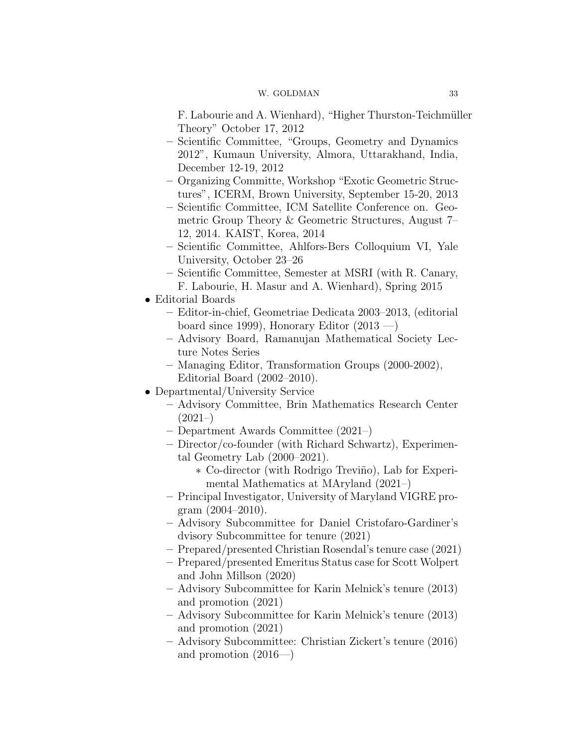F. Labourie and A. Wienhard), "Higher Thurston-Teichmüller Theory" October 17, 2012

- Scientific Committee, "Groups, Geometry and Dynamics 2012", Kumaun University, Almora, Uttarakhand, India, December 12-19, 2012
- Organizing Committe, Workshop "Exotic Geometric Structures", ICERM, Brown University, September 15-20, 2013
- Scientific Committee, ICM Satellite Conference on. Geometric Group Theory & Geometric Structures, August 7– 12, 2014. KAIST, Korea, 2014
- Scientific Committee, Ahlfors-Bers Colloquium VI, Yale University, October 23–26
- Scientific Committee, Semester at MSRI (with R. Canary, F. Labourie, H. Masur and A. Wienhard), Spring 2015
- Editorial Boards
	- Editor-in-chief, Geometriae Dedicata 2003–2013, (editorial board since 1999), Honorary Editor  $(2013 - )$
	- Advisory Board, Ramanujan Mathematical Society Lecture Notes Series
	- Managing Editor, Transformation Groups (2000-2002), Editorial Board (2002–2010).
- Departmental/University Service
	- Advisory Committee, Brin Mathematics Research Center  $(2021-)$
	- Department Awards Committee (2021–)
	- Director/co-founder (with Richard Schwartz), Experimental Geometry Lab (2000–2021).
		- ∗ Co-director (with Rodrigo Trevi˜no), Lab for Experimental Mathematics at MAryland (2021–)
	- Principal Investigator, University of Maryland VIGRE program  $(2004-2010)$ .
	- Advisory Subcommittee for Daniel Cristofaro-Gardiner's dvisory Subcommittee for tenure (2021)
	- Prepared/presented Christian Rosendal's tenure case (2021)
	- Prepared/presented Emeritus Status case for Scott Wolpert and John Millson (2020)
	- Advisory Subcommittee for Karin Melnick's tenure (2013) and promotion (2021)
	- Advisory Subcommittee for Karin Melnick's tenure (2013) and promotion (2021)
	- Advisory Subcommittee: Christian Zickert's tenure (2016) and promotion (2016—)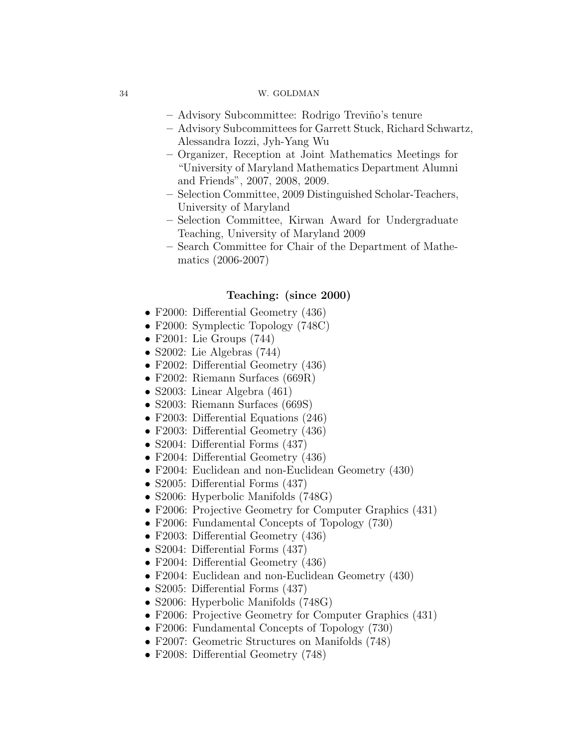- Advisory Subcommittee: Rodrigo Trevi˜no's tenure
- Advisory Subcommittees for Garrett Stuck, Richard Schwartz, Alessandra Iozzi, Jyh-Yang Wu
- Organizer, Reception at Joint Mathematics Meetings for "University of Maryland Mathematics Department Alumni and Friends", 2007, 2008, 2009.
- Selection Committee, 2009 Distinguished Scholar-Teachers, University of Maryland
- Selection Committee, Kirwan Award for Undergraduate Teaching, University of Maryland 2009
- Search Committee for Chair of the Department of Mathematics (2006-2007)

# Teaching: (since 2000)

- F2000: Differential Geometry (436)
- F2000: Symplectic Topology (748C)
- F2001: Lie Groups (744)
- S2002: Lie Algebras (744)
- F2002: Differential Geometry (436)
- F2002: Riemann Surfaces (669R)
- S2003: Linear Algebra (461)
- S2003: Riemann Surfaces (669S)
- F2003: Differential Equations (246)
- F2003: Differential Geometry (436)
- S2004: Differential Forms (437)
- F2004: Differential Geometry (436)
- F2004: Euclidean and non-Euclidean Geometry (430)
- S2005: Differential Forms (437)
- S2006: Hyperbolic Manifolds (748G)
- F2006: Projective Geometry for Computer Graphics (431)
- F2006: Fundamental Concepts of Topology (730)
- F2003: Differential Geometry (436)
- S2004: Differential Forms (437)
- F2004: Differential Geometry (436)
- F2004: Euclidean and non-Euclidean Geometry (430)
- S2005: Differential Forms (437)
- S2006: Hyperbolic Manifolds (748G)
- F2006: Projective Geometry for Computer Graphics (431)
- F2006: Fundamental Concepts of Topology (730)
- F2007: Geometric Structures on Manifolds (748)
- F2008: Differential Geometry (748)